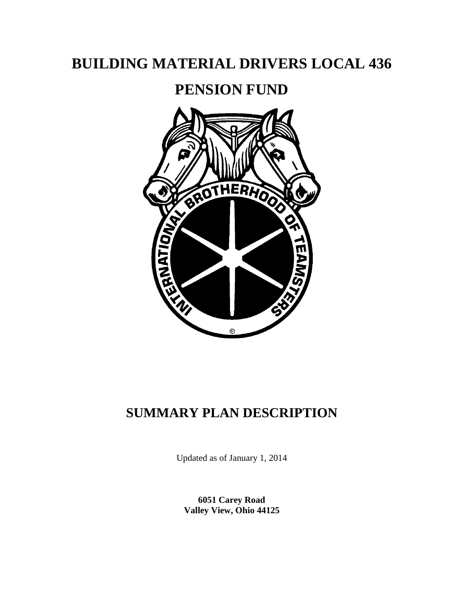# **BUILDING MATERIAL DRIVERS LOCAL 436**

## **PENSION FUND**



# **SUMMARY PLAN DESCRIPTION**

Updated as of January 1, 2014

**6051 Carey Road Valley View, Ohio 44125**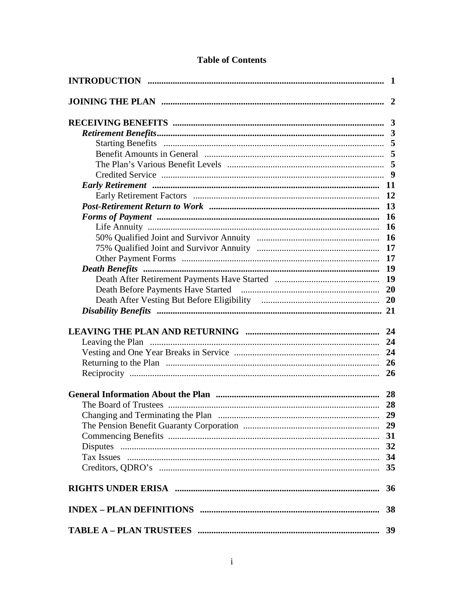|                                                                                                                | $\overline{2}$ |
|----------------------------------------------------------------------------------------------------------------|----------------|
|                                                                                                                | $\overline{3}$ |
|                                                                                                                | $\overline{3}$ |
|                                                                                                                |                |
| Benefit Amounts in General music music contained the state of 5                                                |                |
|                                                                                                                |                |
|                                                                                                                |                |
| Early Retirement manual measurement control and the manual measurement of the Early Retirement measurement     |                |
|                                                                                                                |                |
|                                                                                                                |                |
|                                                                                                                |                |
|                                                                                                                |                |
|                                                                                                                |                |
|                                                                                                                |                |
|                                                                                                                |                |
| Death Benefits manual manual contract contract contract contract contract contract contract contract control o | - 19           |
|                                                                                                                |                |
|                                                                                                                |                |
|                                                                                                                |                |
|                                                                                                                |                |
|                                                                                                                |                |
|                                                                                                                |                |
|                                                                                                                |                |
|                                                                                                                |                |
|                                                                                                                |                |
|                                                                                                                |                |
|                                                                                                                |                |
|                                                                                                                |                |
|                                                                                                                | 28             |
|                                                                                                                | 29             |
|                                                                                                                | 29             |
|                                                                                                                | 31             |
|                                                                                                                | 32             |
|                                                                                                                |                |
|                                                                                                                | 35             |
|                                                                                                                | 36             |
|                                                                                                                | 38             |

## **Table of Contents**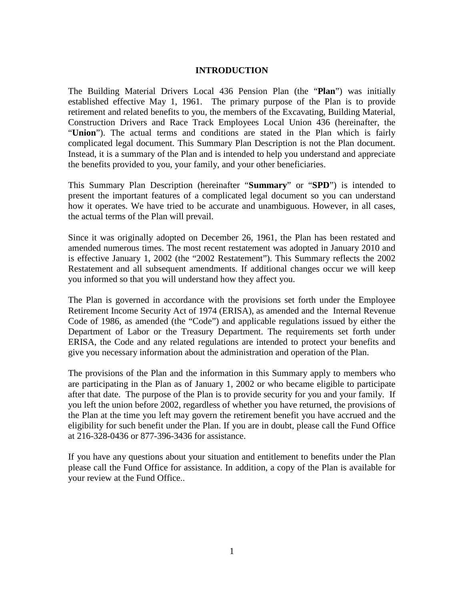#### **INTRODUCTION**

The Building Material Drivers Local 436 Pension Plan (the "**Plan**") was initially established effective May 1, 1961. The primary purpose of the Plan is to provide retirement and related benefits to you, the members of the Excavating, Building Material, Construction Drivers and Race Track Employees Local Union 436 (hereinafter, the "**Union**"). The actual terms and conditions are stated in the Plan which is fairly complicated legal document. This Summary Plan Description is not the Plan document. Instead, it is a summary of the Plan and is intended to help you understand and appreciate the benefits provided to you, your family, and your other beneficiaries.

This Summary Plan Description (hereinafter "**Summary**" or "**SPD**") is intended to present the important features of a complicated legal document so you can understand how it operates. We have tried to be accurate and unambiguous. However, in all cases, the actual terms of the Plan will prevail.

Since it was originally adopted on December 26, 1961, the Plan has been restated and amended numerous times. The most recent restatement was adopted in January 2010 and is effective January 1, 2002 (the "2002 Restatement"). This Summary reflects the 2002 Restatement and all subsequent amendments. If additional changes occur we will keep you informed so that you will understand how they affect you.

The Plan is governed in accordance with the provisions set forth under the Employee Retirement Income Security Act of 1974 (ERISA), as amended and the Internal Revenue Code of 1986, as amended (the "Code") and applicable regulations issued by either the Department of Labor or the Treasury Department. The requirements set forth under ERISA, the Code and any related regulations are intended to protect your benefits and give you necessary information about the administration and operation of the Plan.

The provisions of the Plan and the information in this Summary apply to members who are participating in the Plan as of January 1, 2002 or who became eligible to participate after that date. The purpose of the Plan is to provide security for you and your family. If you left the union before 2002, regardless of whether you have returned, the provisions of the Plan at the time you left may govern the retirement benefit you have accrued and the eligibility for such benefit under the Plan. If you are in doubt, please call the Fund Office at 216-328-0436 or 877-396-3436 for assistance.

If you have any questions about your situation and entitlement to benefits under the Plan please call the Fund Office for assistance. In addition, a copy of the Plan is available for your review at the Fund Office..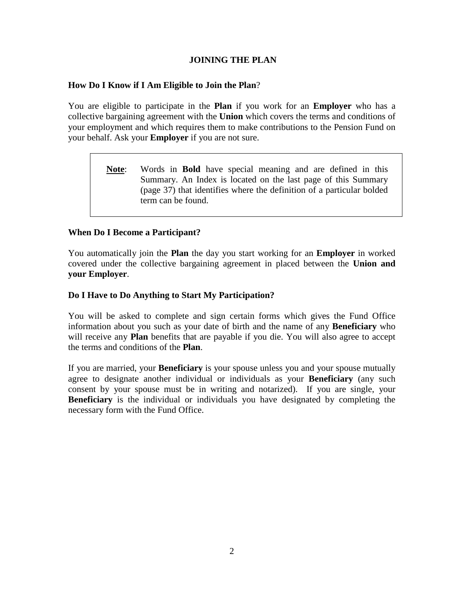## **JOINING THE PLAN**

## **How Do I Know if I Am Eligible to Join the Plan**?

You are eligible to participate in the **Plan** if you work for an **Employer** who has a collective bargaining agreement with the **Union** which covers the terms and conditions of your employment and which requires them to make contributions to the Pension Fund on your behalf. Ask your **Employer** if you are not sure.

> **Note**: Words in **Bold** have special meaning and are defined in this Summary. An Index is located on the last page of this Summary (page 37) that identifies where the definition of a particular bolded term can be found.

## **When Do I Become a Participant?**

You automatically join the **Plan** the day you start working for an **Employer** in worked covered under the collective bargaining agreement in placed between the **Union and your Employer**.

## **Do I Have to Do Anything to Start My Participation?**

You will be asked to complete and sign certain forms which gives the Fund Office information about you such as your date of birth and the name of any **Beneficiary** who will receive any **Plan** benefits that are payable if you die. You will also agree to accept the terms and conditions of the **Plan**.

If you are married, your **Beneficiary** is your spouse unless you and your spouse mutually agree to designate another individual or individuals as your **Beneficiary** (any such consent by your spouse must be in writing and notarized). If you are single, your **Beneficiary** is the individual or individuals you have designated by completing the necessary form with the Fund Office.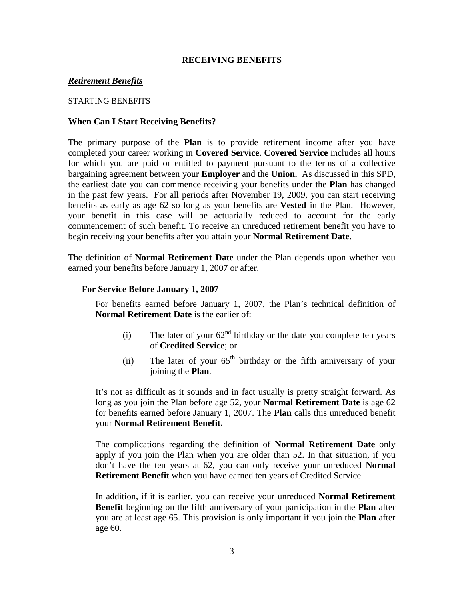#### **RECEIVING BENEFITS**

#### *Retirement Benefits*

#### STARTING BENEFITS

#### **When Can I Start Receiving Benefits?**

The primary purpose of the **Plan** is to provide retirement income after you have completed your career working in **Covered Service**. **Covered Service** includes all hours for which you are paid or entitled to payment pursuant to the terms of a collective bargaining agreement between your **Employer** and the **Union.** As discussed in this SPD, the earliest date you can commence receiving your benefits under the **Plan** has changed in the past few years. For all periods after November 19, 2009, you can start receiving benefits as early as age 62 so long as your benefits are **Vested** in the Plan. However, your benefit in this case will be actuarially reduced to account for the early commencement of such benefit. To receive an unreduced retirement benefit you have to begin receiving your benefits after you attain your **Normal Retirement Date.**

The definition of **Normal Retirement Date** under the Plan depends upon whether you earned your benefits before January 1, 2007 or after.

#### **For Service Before January 1, 2007**

For benefits earned before January 1, 2007, the Plan's technical definition of **Normal Retirement Date** is the earlier of:

- (i) The later of your  $62<sup>nd</sup>$  birthday or the date you complete ten years of **Credited Service**; or
- (ii) The later of your  $65<sup>th</sup>$  birthday or the fifth anniversary of your joining the **Plan**.

It's not as difficult as it sounds and in fact usually is pretty straight forward. As long as you join the Plan before age 52, your **Normal Retirement Date** is age 62 for benefits earned before January 1, 2007. The **Plan** calls this unreduced benefit your **Normal Retirement Benefit.**

The complications regarding the definition of **Normal Retirement Date** only apply if you join the Plan when you are older than 52. In that situation, if you don't have the ten years at 62, you can only receive your unreduced **Normal Retirement Benefit** when you have earned ten years of Credited Service.

In addition, if it is earlier, you can receive your unreduced **Normal Retirement Benefit** beginning on the fifth anniversary of your participation in the **Plan** after you are at least age 65. This provision is only important if you join the **Plan** after age 60.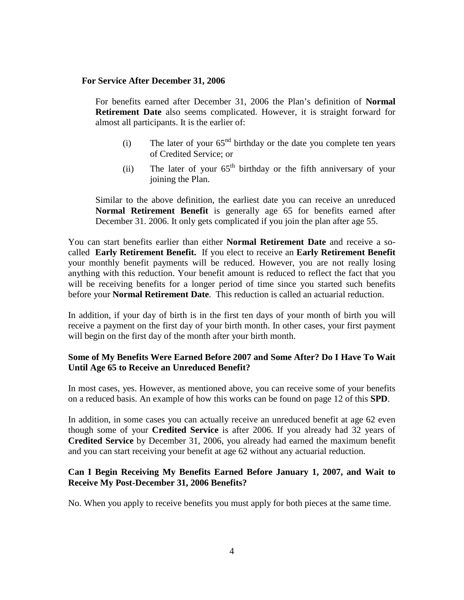#### **For Service After December 31, 2006**

For benefits earned after December 31, 2006 the Plan's definition of **Normal Retirement Date** also seems complicated. However, it is straight forward for almost all participants. It is the earlier of:

- (i) The later of your  $65<sup>nd</sup>$  birthday or the date you complete ten years of Credited Service; or
- (ii) The later of your  $65<sup>th</sup>$  birthday or the fifth anniversary of your joining the Plan.

Similar to the above definition, the earliest date you can receive an unreduced **Normal Retirement Benefit** is generally age 65 for benefits earned after December 31. 2006. It only gets complicated if you join the plan after age 55.

You can start benefits earlier than either **Normal Retirement Date** and receive a socalled **Early Retirement Benefit.** If you elect to receive an **Early Retirement Benefit** your monthly benefit payments will be reduced. However, you are not really losing anything with this reduction. Your benefit amount is reduced to reflect the fact that you will be receiving benefits for a longer period of time since you started such benefits before your **Normal Retirement Date**. This reduction is called an actuarial reduction.

In addition, if your day of birth is in the first ten days of your month of birth you will receive a payment on the first day of your birth month. In other cases, your first payment will begin on the first day of the month after your birth month.

## **Some of My Benefits Were Earned Before 2007 and Some After? Do I Have To Wait Until Age 65 to Receive an Unreduced Benefit?**

In most cases, yes. However, as mentioned above, you can receive some of your benefits on a reduced basis. An example of how this works can be found on page 12 of this **SPD**.

In addition, in some cases you can actually receive an unreduced benefit at age 62 even though some of your **Credited Service** is after 2006. If you already had 32 years of **Credited Service** by December 31, 2006, you already had earned the maximum benefit and you can start receiving your benefit at age 62 without any actuarial reduction.

## **Can I Begin Receiving My Benefits Earned Before January 1, 2007, and Wait to Receive My Post-December 31, 2006 Benefits?**

No. When you apply to receive benefits you must apply for both pieces at the same time.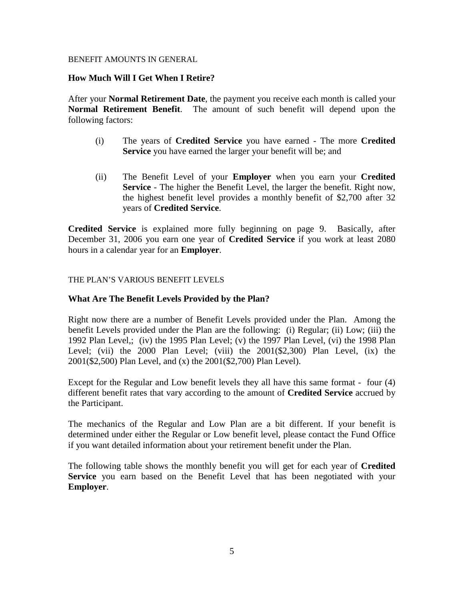#### BENEFIT AMOUNTS IN GENERAL

#### **How Much Will I Get When I Retire?**

After your **Normal Retirement Date**, the payment you receive each month is called your **Normal Retirement Benefit**. The amount of such benefit will depend upon the following factors:

- (i) The years of **Credited Service** you have earned The more **Credited Service** you have earned the larger your benefit will be; and
- (ii) The Benefit Level of your **Employer** when you earn your **Credited Service** - The higher the Benefit Level, the larger the benefit. Right now, the highest benefit level provides a monthly benefit of \$2,700 after 32 years of **Credited Service**.

**Credited Service** is explained more fully beginning on page 9. Basically, after December 31, 2006 you earn one year of **Credited Service** if you work at least 2080 hours in a calendar year for an **Employer**.

#### THE PLAN'S VARIOUS BENEFIT LEVELS

#### **What Are The Benefit Levels Provided by the Plan?**

Right now there are a number of Benefit Levels provided under the Plan. Among the benefit Levels provided under the Plan are the following: (i) Regular; (ii) Low; (iii) the 1992 Plan Level,; (iv) the 1995 Plan Level; (v) the 1997 Plan Level, (vi) the 1998 Plan Level; (vii) the  $2000$  Plan Level; (viii) the  $2001(\$2,300)$  Plan Level, (ix) the 2001(\$2,500) Plan Level, and (x) the 2001(\$2,700) Plan Level).

Except for the Regular and Low benefit levels they all have this same format - four (4) different benefit rates that vary according to the amount of **Credited Service** accrued by the Participant.

The mechanics of the Regular and Low Plan are a bit different. If your benefit is determined under either the Regular or Low benefit level, please contact the Fund Office if you want detailed information about your retirement benefit under the Plan.

The following table shows the monthly benefit you will get for each year of **Credited**  Service you earn based on the Benefit Level that has been negotiated with your **Employer**.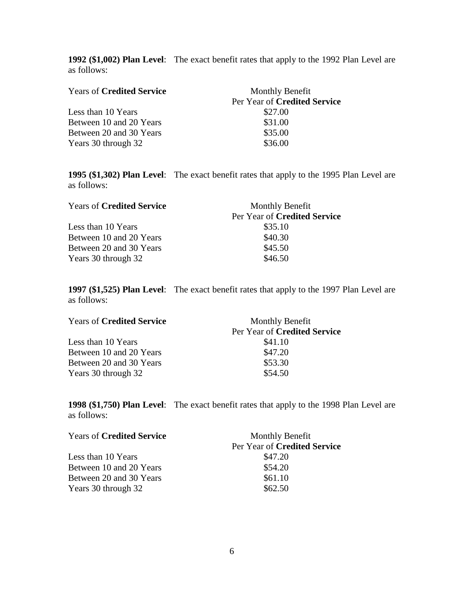**1992 (\$1,002) Plan Level**: The exact benefit rates that apply to the 1992 Plan Level are as follows:

| <b>Monthly Benefit</b>       |
|------------------------------|
| Per Year of Credited Service |
| \$27.00                      |
| \$31.00                      |
| \$35.00                      |
| \$36.00                      |
|                              |

**1995 (\$1,302) Plan Level**: The exact benefit rates that apply to the 1995 Plan Level are as follows:

| <b>Monthly Benefit</b>       |
|------------------------------|
| Per Year of Credited Service |
| \$35.10                      |
| \$40.30                      |
| \$45.50                      |
| \$46.50                      |
|                              |

**1997 (\$1,525) Plan Level**: The exact benefit rates that apply to the 1997 Plan Level are as follows:

| <b>Monthly Benefit</b>       |
|------------------------------|
| Per Year of Credited Service |
| \$41.10                      |
| \$47.20                      |
| \$53.30                      |
| \$54.50                      |
|                              |

**1998 (\$1,750) Plan Level**: The exact benefit rates that apply to the 1998 Plan Level are as follows:

| <b>Years of Credited Service</b> | <b>Monthly Benefit</b>       |
|----------------------------------|------------------------------|
|                                  | Per Year of Credited Service |
| Less than 10 Years               | \$47.20                      |
| Between 10 and 20 Years          | \$54.20                      |
| Between 20 and 30 Years          | \$61.10                      |
| Years 30 through 32              | \$62.50                      |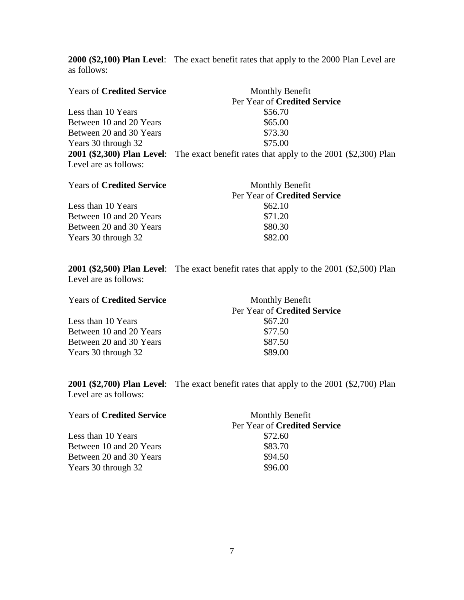**2000 (\$2,100) Plan Level**: The exact benefit rates that apply to the 2000 Plan Level are as follows:

| <b>Years of Credited Service</b> | <b>Monthly Benefit</b>                                                                   |
|----------------------------------|------------------------------------------------------------------------------------------|
|                                  | Per Year of Credited Service                                                             |
| Less than 10 Years               | \$56.70                                                                                  |
| Between 10 and 20 Years          | \$65.00                                                                                  |
| Between 20 and 30 Years          | \$73.30                                                                                  |
| Years 30 through 32              | \$75.00                                                                                  |
|                                  | 2001 (\$2,300) Plan Level: The exact benefit rates that apply to the 2001 (\$2,300) Plan |
| Level are as follows:            |                                                                                          |

| <b>Years of Credited Service</b> | <b>Monthly Benefit</b>       |
|----------------------------------|------------------------------|
|                                  | Per Year of Credited Service |
| Less than 10 Years               | \$62.10                      |
| Between 10 and 20 Years          | \$71.20                      |
| Between 20 and 30 Years          | \$80.30                      |
| Years 30 through 32              | \$82.00                      |

**2001 (\$2,500) Plan Level**: The exact benefit rates that apply to the 2001 (\$2,500) Plan Level are as follows:

| <b>Years of Credited Service</b> | <b>Monthly Benefit</b>       |
|----------------------------------|------------------------------|
|                                  | Per Year of Credited Service |
| Less than 10 Years               | \$67.20                      |
| Between 10 and 20 Years          | \$77.50                      |
| Between 20 and 30 Years          | \$87.50                      |
| Years 30 through 32              | \$89.00                      |

**2001 (\$2,700) Plan Level**: The exact benefit rates that apply to the 2001 (\$2,700) Plan Level are as follows:

| <b>Monthly Benefit</b>       |
|------------------------------|
| Per Year of Credited Service |
| \$72.60                      |
| \$83.70                      |
| \$94.50                      |
| \$96.00                      |
|                              |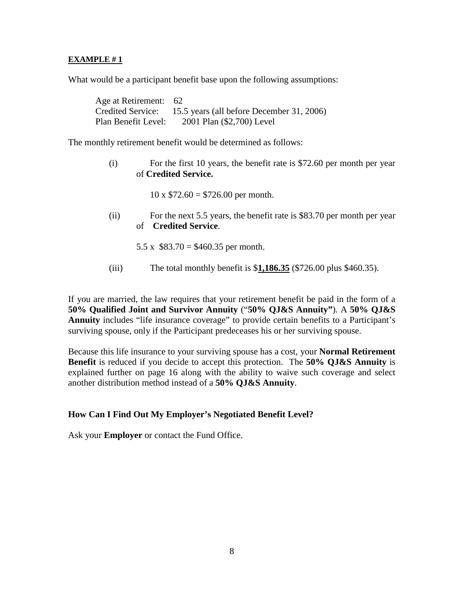#### **EXAMPLE # 1**

What would be a participant benefit base upon the following assumptions:

| Age at Retirement:  | 62                                                          |
|---------------------|-------------------------------------------------------------|
|                     | Credited Service: 15.5 years (all before December 31, 2006) |
| Plan Benefit Level: | 2001 Plan (\$2,700) Level                                   |

The monthly retirement benefit would be determined as follows:

(i) For the first 10 years, the benefit rate is \$72.60 per month per year of **Credited Service.**

 $10 \times $72.60 = $726.00$  per month.

(ii) For the next 5.5 years, the benefit rate is \$83.70 per month per year of **Credited Service**.

5.5 x  $$83.70 = $460.35$  per month.

(iii) The total monthly benefit is \$**1,186.35** (\$726.00 plus \$460.35).

If you are married, the law requires that your retirement benefit be paid in the form of a **50% Qualified Joint and Survivor Annuity** ("**50% QJ&S Annuity"**). A **50% QJ&S Annuity** includes "life insurance coverage" to provide certain benefits to a Participant's surviving spouse, only if the Participant predeceases his or her surviving spouse.

Because this life insurance to your surviving spouse has a cost, your **Normal Retirement Benefit** is reduced if you decide to accept this protection. The **50% QJ&S Annuity** is explained further on page 16 along with the ability to waive such coverage and select another distribution method instead of a **50% QJ&S Annuity**.

## **How Can I Find Out My Employer's Negotiated Benefit Level?**

Ask your **Employer** or contact the Fund Office.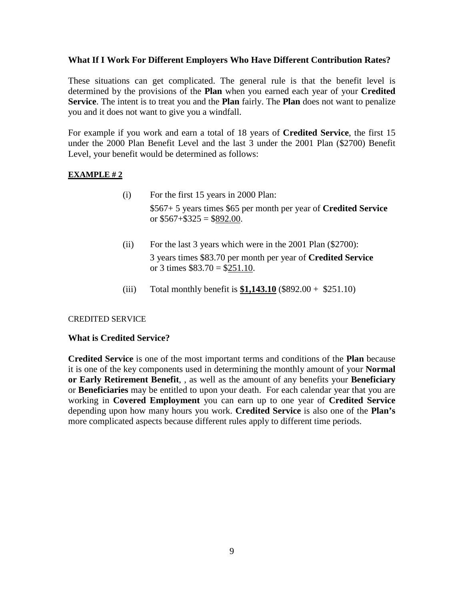## **What If I Work For Different Employers Who Have Different Contribution Rates?**

These situations can get complicated. The general rule is that the benefit level is determined by the provisions of the **Plan** when you earned each year of your **Credited Service**. The intent is to treat you and the **Plan** fairly. The **Plan** does not want to penalize you and it does not want to give you a windfall.

For example if you work and earn a total of 18 years of **Credited Service**, the first 15 under the 2000 Plan Benefit Level and the last 3 under the 2001 Plan (\$2700) Benefit Level, your benefit would be determined as follows:

#### **EXAMPLE # 2**

- (i) For the first 15 years in 2000 Plan: \$567+ 5 years times \$65 per month per year of **Credited Service** or  $$567 + $325 = $892.00$ .
- (ii) For the last 3 years which were in the 2001 Plan (\$2700): 3 years times \$83.70 per month per year of **Credited Service** or 3 times  $$83.70 = $251.10$ .
- (iii) Total monthly benefit is **\$1,143.10** (\$892.00 + \$251.10)

#### CREDITED SERVICE

#### **What is Credited Service?**

**Credited Service** is one of the most important terms and conditions of the **Plan** because it is one of the key components used in determining the monthly amount of your **Normal or Early Retirement Benefit**, , as well as the amount of any benefits your **Beneficiary** or **Beneficiaries** may be entitled to upon your death. For each calendar year that you are working in **Covered Employment** you can earn up to one year of **Credited Service** depending upon how many hours you work. **Credited Service** is also one of the **Plan's** more complicated aspects because different rules apply to different time periods.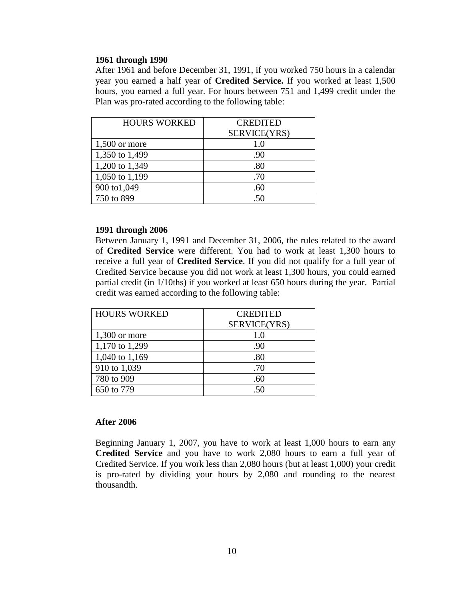#### **1961 through 1990**

After 1961 and before December 31, 1991, if you worked 750 hours in a calendar year you earned a half year of **Credited Service.** If you worked at least 1,500 hours, you earned a full year. For hours between 751 and 1,499 credit under the Plan was pro-rated according to the following table:

| <b>HOURS WORKED</b> | <b>CREDITED</b> |
|---------------------|-----------------|
|                     | SERVICE(YRS)    |
| $1,500$ or more     | 1.0             |
| 1,350 to 1,499      | .90             |
| 1,200 to 1,349      | .80             |
| 1,050 to 1,199      | .70             |
| 900 to1,049         | .60             |
| 750 to 899          | -50             |

#### **1991 through 2006**

Between January 1, 1991 and December 31, 2006, the rules related to the award of **Credited Service** were different. You had to work at least 1,300 hours to receive a full year of **Credited Service**. If you did not qualify for a full year of Credited Service because you did not work at least 1,300 hours, you could earned partial credit (in 1/10ths) if you worked at least 650 hours during the year. Partial credit was earned according to the following table:

| <b>HOURS WORKED</b> | <b>CREDITED</b> |
|---------------------|-----------------|
|                     | SERVICE(YRS)    |
| $1,300$ or more     | 1.0             |
| 1,170 to 1,299      | .90             |
| 1,040 to 1,169      | .80             |
| 910 to 1,039        | .70             |
| 780 to 909          | .60             |
| 650 to 779          | -50             |

#### **After 2006**

Beginning January 1, 2007, you have to work at least 1,000 hours to earn any **Credited Service** and you have to work 2,080 hours to earn a full year of Credited Service. If you work less than 2,080 hours (but at least 1,000) your credit is pro-rated by dividing your hours by 2,080 and rounding to the nearest thousandth.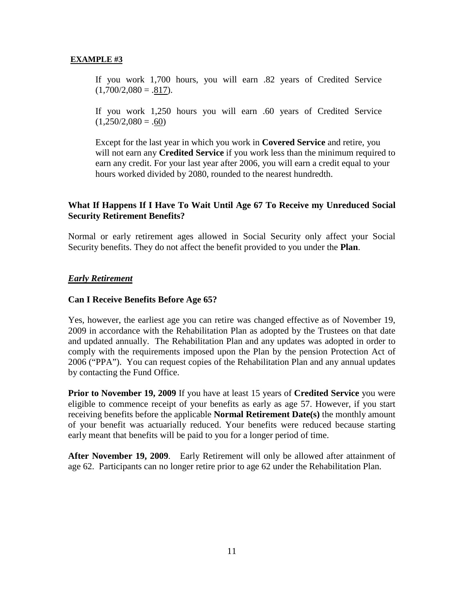#### **EXAMPLE #3**

If you work 1,700 hours, you will earn .82 years of Credited Service  $(1,700/2,080 = .817).$ 

If you work 1,250 hours you will earn .60 years of Credited Service  $(1,250/2,080 = .60)$ 

Except for the last year in which you work in **Covered Service** and retire, you will not earn any **Credited Service** if you work less than the minimum required to earn any credit. For your last year after 2006, you will earn a credit equal to your hours worked divided by 2080, rounded to the nearest hundredth.

## **What If Happens If I Have To Wait Until Age 67 To Receive my Unreduced Social Security Retirement Benefits?**

Normal or early retirement ages allowed in Social Security only affect your Social Security benefits. They do not affect the benefit provided to you under the **Plan**.

#### *Early Retirement*

#### **Can I Receive Benefits Before Age 65?**

Yes, however, the earliest age you can retire was changed effective as of November 19, 2009 in accordance with the Rehabilitation Plan as adopted by the Trustees on that date and updated annually. The Rehabilitation Plan and any updates was adopted in order to comply with the requirements imposed upon the Plan by the pension Protection Act of 2006 ("PPA"). You can request copies of the Rehabilitation Plan and any annual updates by contacting the Fund Office.

**Prior to November 19, 2009** If you have at least 15 years of **Credited Service** you were eligible to commence receipt of your benefits as early as age 57. However, if you start receiving benefits before the applicable **Normal Retirement Date(s)** the monthly amount of your benefit was actuarially reduced. Your benefits were reduced because starting early meant that benefits will be paid to you for a longer period of time.

**After November 19, 2009**. Early Retirement will only be allowed after attainment of age 62. Participants can no longer retire prior to age 62 under the Rehabilitation Plan.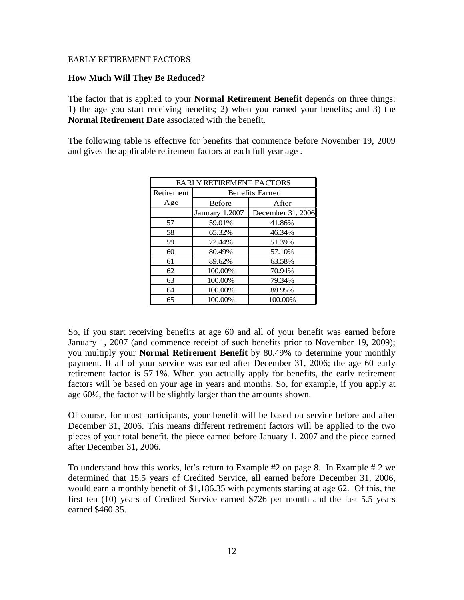#### EARLY RETIREMENT FACTORS

#### **How Much Will They Be Reduced?**

The factor that is applied to your **Normal Retirement Benefit** depends on three things: 1) the age you start receiving benefits; 2) when you earned your benefits; and 3) the **Normal Retirement Date** associated with the benefit.

The following table is effective for benefits that commence before November 19, 2009 and gives the applicable retirement factors at each full year age .

| <b>EARLY RETIREMENT FACTORS</b> |                        |                   |  |  |
|---------------------------------|------------------------|-------------------|--|--|
| Retirement                      | <b>Benefits Earned</b> |                   |  |  |
| Age                             | <b>Before</b>          | <b>A</b> fter     |  |  |
|                                 | January 1,2007         | December 31, 2006 |  |  |
| 57                              | 59.01%                 | 41.86%            |  |  |
| 58                              | 65.32%                 | 46.34%            |  |  |
| 59                              | 72.44%                 | 51.39%            |  |  |
| 60                              | 80.49%                 | 57.10%            |  |  |
| 61                              | 89.62%                 | 63.58%            |  |  |
| 62                              | 100.00%                | 70.94%            |  |  |
| 63                              | 100.00%                | 79.34%            |  |  |
| 64                              | 100.00%                | 88.95%            |  |  |
| 65                              | 100.00%                | 100.00%           |  |  |

So, if you start receiving benefits at age 60 and all of your benefit was earned before January 1, 2007 (and commence receipt of such benefits prior to November 19, 2009); you multiply your **Normal Retirement Benefit** by 80.49% to determine your monthly payment. If all of your service was earned after December 31, 2006; the age 60 early retirement factor is 57.1%. When you actually apply for benefits, the early retirement factors will be based on your age in years and months. So, for example, if you apply at age 60½, the factor will be slightly larger than the amounts shown.

Of course, for most participants, your benefit will be based on service before and after December 31, 2006. This means different retirement factors will be applied to the two pieces of your total benefit, the piece earned before January 1, 2007 and the piece earned after December 31, 2006.

To understand how this works, let's return to **Example #2** on page 8. In **Example #2** we determined that 15.5 years of Credited Service, all earned before December 31, 2006, would earn a monthly benefit of \$1,186.35 with payments starting at age 62. Of this, the first ten (10) years of Credited Service earned \$726 per month and the last 5.5 years earned \$460.35.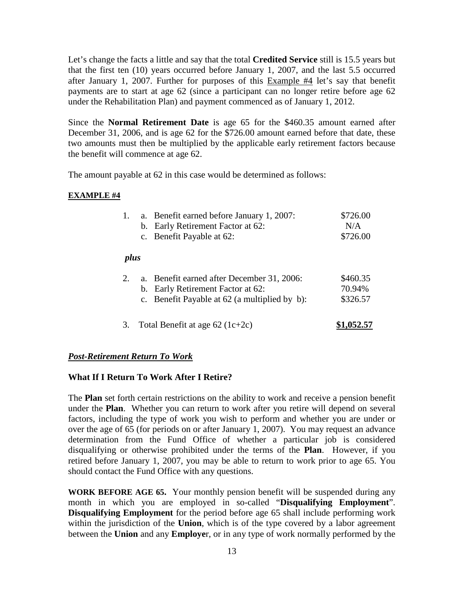Let's change the facts a little and say that the total **Credited Service** still is 15.5 years but that the first ten (10) years occurred before January 1, 2007, and the last 5.5 occurred after January 1, 2007. Further for purposes of this Example #4 let's say that benefit payments are to start at age 62 (since a participant can no longer retire before age 62 under the Rehabilitation Plan) and payment commenced as of January 1, 2012.

Since the **Normal Retirement Date** is age 65 for the \$460.35 amount earned after December 31, 2006, and is age 62 for the \$726.00 amount earned before that date, these two amounts must then be multiplied by the applicable early retirement factors because the benefit will commence at age 62.

The amount payable at 62 in this case would be determined as follows:

#### **EXAMPLE #4**

| 1. |      | a. Benefit earned before January 1, 2007:<br>b. Early Retirement Factor at 62:<br>c. Benefit Payable at 62:                        | \$726.00<br>N/A<br>\$726.00    |
|----|------|------------------------------------------------------------------------------------------------------------------------------------|--------------------------------|
|    | plus |                                                                                                                                    |                                |
| 2. |      | a. Benefit earned after December 31, 2006:<br>b. Early Retirement Factor at 62:<br>c. Benefit Payable at $62$ (a multiplied by b): | \$460.35<br>70.94%<br>\$326.57 |
|    | 3.   | Total Benefit at age $62$ (1c+2c)                                                                                                  |                                |

#### *Post-Retirement Return To Work*

## **What If I Return To Work After I Retire?**

The **Plan** set forth certain restrictions on the ability to work and receive a pension benefit under the **Plan**. Whether you can return to work after you retire will depend on several factors, including the type of work you wish to perform and whether you are under or over the age of 65 (for periods on or after January 1, 2007). You may request an advance determination from the Fund Office of whether a particular job is considered disqualifying or otherwise prohibited under the terms of the **Plan**. However, if you retired before January 1, 2007, you may be able to return to work prior to age 65. You should contact the Fund Office with any questions.

**WORK BEFORE AGE 65.** Your monthly pension benefit will be suspended during any month in which you are employed in so-called "**Disqualifying Employment**". **Disqualifying Employment** for the period before age 65 shall include performing work within the jurisdiction of the **Union**, which is of the type covered by a labor agreement between the **Union** and any **Employe**r, or in any type of work normally performed by the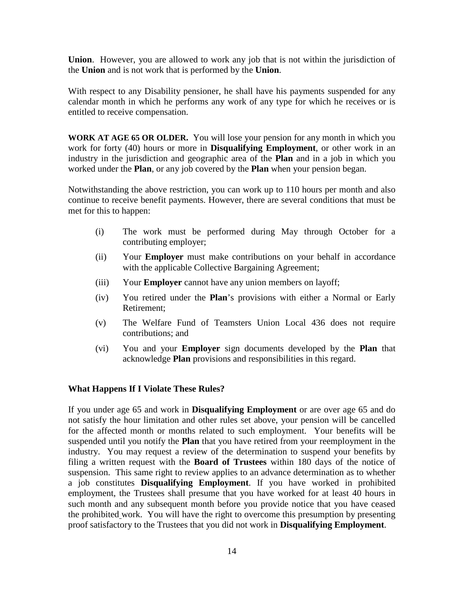**Union**. However, you are allowed to work any job that is not within the jurisdiction of the **Union** and is not work that is performed by the **Union**.

With respect to any Disability pensioner, he shall have his payments suspended for any calendar month in which he performs any work of any type for which he receives or is entitled to receive compensation.

**WORK AT AGE 65 OR OLDER.** You will lose your pension for any month in which you work for forty (40) hours or more in **Disqualifying Employment**, or other work in an industry in the jurisdiction and geographic area of the **Plan** and in a job in which you worked under the **Plan**, or any job covered by the **Plan** when your pension began.

Notwithstanding the above restriction, you can work up to 110 hours per month and also continue to receive benefit payments. However, there are several conditions that must be met for this to happen:

- (i) The work must be performed during May through October for a contributing employer;
- (ii) Your **Employer** must make contributions on your behalf in accordance with the applicable Collective Bargaining Agreement;
- (iii) Your **Employer** cannot have any union members on layoff;
- (iv) You retired under the **Plan**'s provisions with either a Normal or Early Retirement;
- (v) The Welfare Fund of Teamsters Union Local 436 does not require contributions; and
- (vi) You and your **Employer** sign documents developed by the **Plan** that acknowledge **Plan** provisions and responsibilities in this regard.

## **What Happens If I Violate These Rules?**

If you under age 65 and work in **Disqualifying Employment** or are over age 65 and do not satisfy the hour limitation and other rules set above, your pension will be cancelled for the affected month or months related to such employment. Your benefits will be suspended until you notify the **Plan** that you have retired from your reemployment in the industry. You may request a review of the determination to suspend your benefits by filing a written request with the **Board of Trustees** within 180 days of the notice of suspension. This same right to review applies to an advance determination as to whether a job constitutes **Disqualifying Employment**. If you have worked in prohibited employment, the Trustees shall presume that you have worked for at least 40 hours in such month and any subsequent month before you provide notice that you have ceased the prohibited work. You will have the right to overcome this presumption by presenting proof satisfactory to the Trustees that you did not work in **Disqualifying Employment**.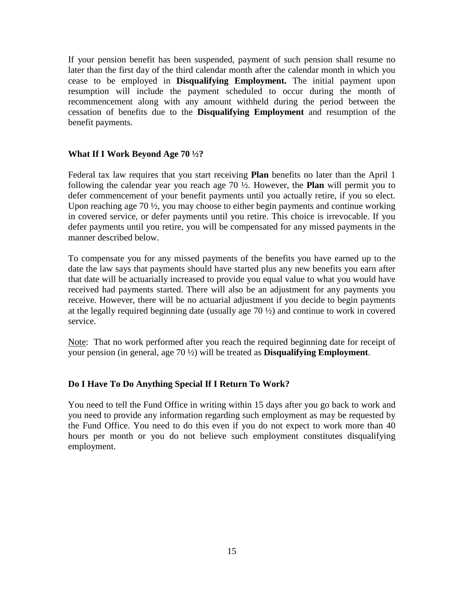If your pension benefit has been suspended, payment of such pension shall resume no later than the first day of the third calendar month after the calendar month in which you cease to be employed in **Disqualifying Employment.** The initial payment upon resumption will include the payment scheduled to occur during the month of recommencement along with any amount withheld during the period between the cessation of benefits due to the **Disqualifying Employment** and resumption of the benefit payments.

## **What If I Work Beyond Age 70 ½?**

Federal tax law requires that you start receiving **Plan** benefits no later than the April 1 following the calendar year you reach age 70 ½. However, the **Plan** will permit you to defer commencement of your benefit payments until you actually retire, if you so elect. Upon reaching age 70 ½, you may choose to either begin payments and continue working in covered service, or defer payments until you retire. This choice is irrevocable. If you defer payments until you retire, you will be compensated for any missed payments in the manner described below.

To compensate you for any missed payments of the benefits you have earned up to the date the law says that payments should have started plus any new benefits you earn after that date will be actuarially increased to provide you equal value to what you would have received had payments started. There will also be an adjustment for any payments you receive. However, there will be no actuarial adjustment if you decide to begin payments at the legally required beginning date (usually age 70 ½) and continue to work in covered service.

Note: That no work performed after you reach the required beginning date for receipt of your pension (in general, age 70 ½) will be treated as **Disqualifying Employment**.

## **Do I Have To Do Anything Special If I Return To Work?**

You need to tell the Fund Office in writing within 15 days after you go back to work and you need to provide any information regarding such employment as may be requested by the Fund Office. You need to do this even if you do not expect to work more than 40 hours per month or you do not believe such employment constitutes disqualifying employment.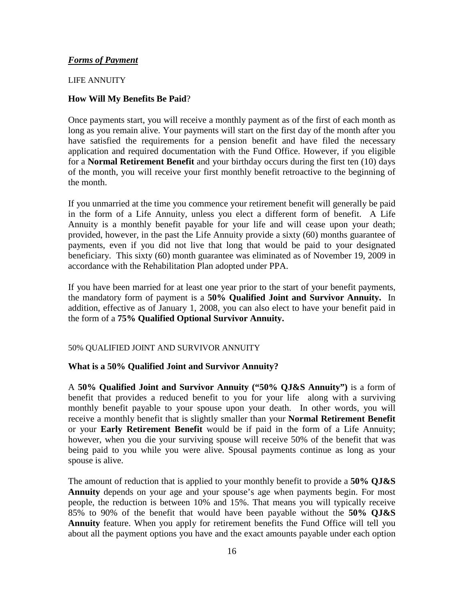#### *Forms of Payment*

#### LIFE ANNUITY

#### **How Will My Benefits Be Paid**?

Once payments start, you will receive a monthly payment as of the first of each month as long as you remain alive. Your payments will start on the first day of the month after you have satisfied the requirements for a pension benefit and have filed the necessary application and required documentation with the Fund Office. However, if you eligible for a **Normal Retirement Benefit** and your birthday occurs during the first ten (10) days of the month, you will receive your first monthly benefit retroactive to the beginning of the month.

If you unmarried at the time you commence your retirement benefit will generally be paid in the form of a Life Annuity, unless you elect a different form of benefit. A Life Annuity is a monthly benefit payable for your life and will cease upon your death; provided, however, in the past the Life Annuity provide a sixty (60) months guarantee of payments, even if you did not live that long that would be paid to your designated beneficiary. This sixty (60) month guarantee was eliminated as of November 19, 2009 in accordance with the Rehabilitation Plan adopted under PPA.

If you have been married for at least one year prior to the start of your benefit payments, the mandatory form of payment is a **50% Qualified Joint and Survivor Annuity.** In addition, effective as of January 1, 2008, you can also elect to have your benefit paid in the form of a **75% Qualified Optional Survivor Annuity.**

#### 50% QUALIFIED JOINT AND SURVIVOR ANNUITY

#### **What is a 50% Qualified Joint and Survivor Annuity?**

A **50% Qualified Joint and Survivor Annuity ("50% QJ&S Annuity")** is a form of benefit that provides a reduced benefit to you for your life along with a surviving monthly benefit payable to your spouse upon your death. In other words, you will receive a monthly benefit that is slightly smaller than your **Normal Retirement Benefit** or your **Early Retirement Benefit** would be if paid in the form of a Life Annuity; however, when you die your surviving spouse will receive 50% of the benefit that was being paid to you while you were alive. Spousal payments continue as long as your spouse is alive.

The amount of reduction that is applied to your monthly benefit to provide a **50% QJ&S Annuity** depends on your age and your spouse's age when payments begin. For most people, the reduction is between 10% and 15%. That means you will typically receive 85% to 90% of the benefit that would have been payable without the **50% QJ&S Annuity** feature. When you apply for retirement benefits the Fund Office will tell you about all the payment options you have and the exact amounts payable under each option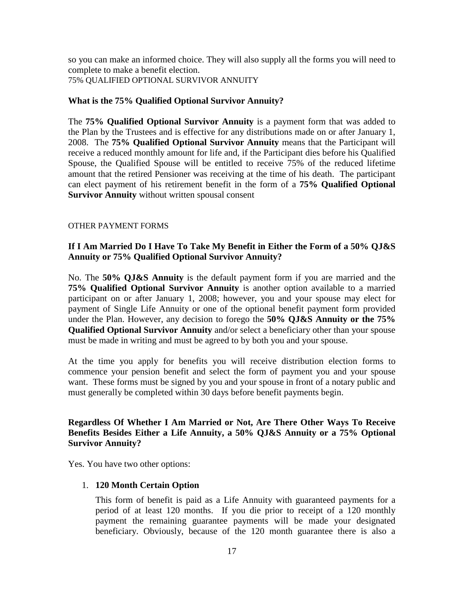so you can make an informed choice. They will also supply all the forms you will need to complete to make a benefit election. 75% QUALIFIED OPTIONAL SURVIVOR ANNUITY

#### **What is the 75% Qualified Optional Survivor Annuity?**

The **75% Qualified Optional Survivor Annuity** is a payment form that was added to the Plan by the Trustees and is effective for any distributions made on or after January 1, 2008. The **75% Qualified Optional Survivor Annuity** means that the Participant will receive a reduced monthly amount for life and, if the Participant dies before his Qualified Spouse, the Qualified Spouse will be entitled to receive 75% of the reduced lifetime amount that the retired Pensioner was receiving at the time of his death. The participant can elect payment of his retirement benefit in the form of a **75% Qualified Optional Survivor Annuity** without written spousal consent

#### OTHER PAYMENT FORMS

## **If I Am Married Do I Have To Take My Benefit in Either the Form of a 50% QJ&S Annuity or 75% Qualified Optional Survivor Annuity?**

No. The **50% QJ&S Annuity** is the default payment form if you are married and the **75% Qualified Optional Survivor Annuity** is another option available to a married participant on or after January 1, 2008; however, you and your spouse may elect for payment of Single Life Annuity or one of the optional benefit payment form provided under the Plan. However, any decision to forego the **50% QJ&S Annuity or the 75% Qualified Optional Survivor Annuity** and/or select a beneficiary other than your spouse must be made in writing and must be agreed to by both you and your spouse.

At the time you apply for benefits you will receive distribution election forms to commence your pension benefit and select the form of payment you and your spouse want. These forms must be signed by you and your spouse in front of a notary public and must generally be completed within 30 days before benefit payments begin.

## **Regardless Of Whether I Am Married or Not, Are There Other Ways To Receive Benefits Besides Either a Life Annuity, a 50% QJ&S Annuity or a 75% Optional Survivor Annuity?**

Yes. You have two other options:

## 1. **120 Month Certain Option**

This form of benefit is paid as a Life Annuity with guaranteed payments for a period of at least 120 months. If you die prior to receipt of a 120 monthly payment the remaining guarantee payments will be made your designated beneficiary. Obviously, because of the 120 month guarantee there is also a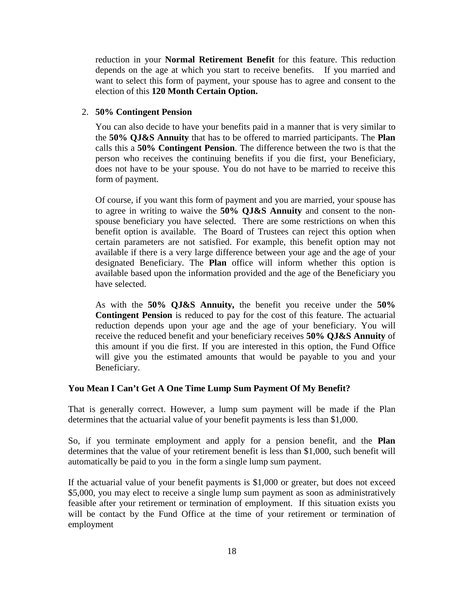reduction in your **Normal Retirement Benefit** for this feature. This reduction depends on the age at which you start to receive benefits. If you married and want to select this form of payment, your spouse has to agree and consent to the election of this **120 Month Certain Option.**

#### 2. **50% Contingent Pension**

You can also decide to have your benefits paid in a manner that is very similar to the **50% QJ&S Annuity** that has to be offered to married participants. The **Plan** calls this a **50% Contingent Pension**. The difference between the two is that the person who receives the continuing benefits if you die first, your Beneficiary, does not have to be your spouse. You do not have to be married to receive this form of payment.

Of course, if you want this form of payment and you are married, your spouse has to agree in writing to waive the **50% QJ&S Annuity** and consent to the nonspouse beneficiary you have selected. There are some restrictions on when this benefit option is available. The Board of Trustees can reject this option when certain parameters are not satisfied. For example, this benefit option may not available if there is a very large difference between your age and the age of your designated Beneficiary. The **Plan** office will inform whether this option is available based upon the information provided and the age of the Beneficiary you have selected.

As with the **50% QJ&S Annuity,** the benefit you receive under the **50% Contingent Pension** is reduced to pay for the cost of this feature. The actuarial reduction depends upon your age and the age of your beneficiary. You will receive the reduced benefit and your beneficiary receives **50% QJ&S Annuity** of this amount if you die first. If you are interested in this option, the Fund Office will give you the estimated amounts that would be payable to you and your Beneficiary.

#### **You Mean I Can't Get A One Time Lump Sum Payment Of My Benefit?**

That is generally correct. However, a lump sum payment will be made if the Plan determines that the actuarial value of your benefit payments is less than \$1,000.

So, if you terminate employment and apply for a pension benefit, and the **Plan** determines that the value of your retirement benefit is less than \$1,000, such benefit will automatically be paid to you in the form a single lump sum payment.

If the actuarial value of your benefit payments is \$1,000 or greater, but does not exceed \$5,000, you may elect to receive a single lump sum payment as soon as administratively feasible after your retirement or termination of employment. If this situation exists you will be contact by the Fund Office at the time of your retirement or termination of employment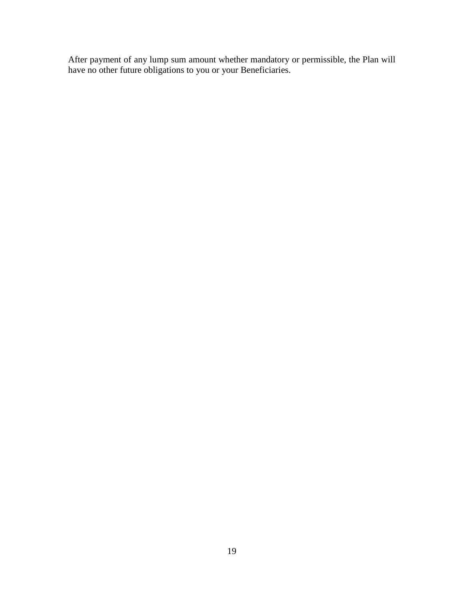After payment of any lump sum amount whether mandatory or permissible, the Plan will have no other future obligations to you or your Beneficiaries.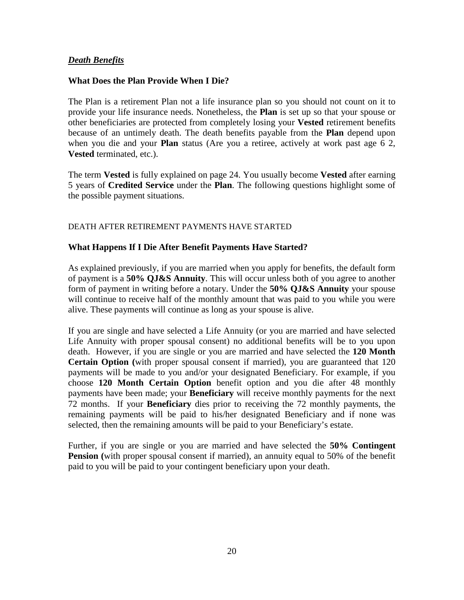## *Death Benefits*

#### **What Does the Plan Provide When I Die?**

The Plan is a retirement Plan not a life insurance plan so you should not count on it to provide your life insurance needs. Nonetheless, the **Plan** is set up so that your spouse or other beneficiaries are protected from completely losing your **Vested** retirement benefits because of an untimely death. The death benefits payable from the **Plan** depend upon when you die and your **Plan** status (Are you a retiree, actively at work past age 6 2, **Vested** terminated, etc.).

The term **Vested** is fully explained on page 24. You usually become **Vested** after earning 5 years of **Credited Service** under the **Plan**. The following questions highlight some of the possible payment situations.

#### DEATH AFTER RETIREMENT PAYMENTS HAVE STARTED

#### **What Happens If I Die After Benefit Payments Have Started?**

As explained previously, if you are married when you apply for benefits, the default form of payment is a **50% QJ&S Annuity**. This will occur unless both of you agree to another form of payment in writing before a notary. Under the **50% QJ&S Annuity** your spouse will continue to receive half of the monthly amount that was paid to you while you were alive. These payments will continue as long as your spouse is alive.

If you are single and have selected a Life Annuity (or you are married and have selected Life Annuity with proper spousal consent) no additional benefits will be to you upon death. However, if you are single or you are married and have selected the **120 Month Certain Option (**with proper spousal consent if married), you are guaranteed that 120 payments will be made to you and/or your designated Beneficiary. For example, if you choose **120 Month Certain Option** benefit option and you die after 48 monthly payments have been made; your **Beneficiary** will receive monthly payments for the next 72 months. If your **Beneficiary** dies prior to receiving the 72 monthly payments, the remaining payments will be paid to his/her designated Beneficiary and if none was selected, then the remaining amounts will be paid to your Beneficiary's estate.

Further, if you are single or you are married and have selected the **50% Contingent Pension** (with proper spousal consent if married), an annuity equal to 50% of the benefit paid to you will be paid to your contingent beneficiary upon your death.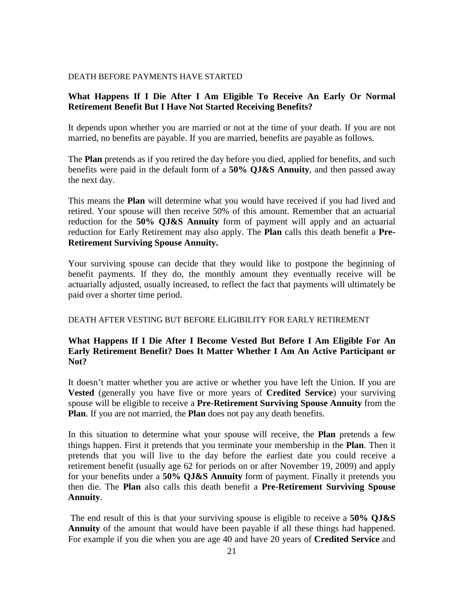#### DEATH BEFORE PAYMENTS HAVE STARTED

## **What Happens If I Die After I Am Eligible To Receive An Early Or Normal Retirement Benefit But I Have Not Started Receiving Benefits?**

It depends upon whether you are married or not at the time of your death. If you are not married, no benefits are payable. If you are married, benefits are payable as follows.

The **Plan** pretends as if you retired the day before you died, applied for benefits, and such benefits were paid in the default form of a **50% QJ&S Annuity**, and then passed away the next day.

This means the **Plan** will determine what you would have received if you had lived and retired. Your spouse will then receive 50% of this amount. Remember that an actuarial reduction for the **50% QJ&S Annuity** form of payment will apply and an actuarial reduction for Early Retirement may also apply. The **Plan** calls this death benefit a **Pre-Retirement Surviving Spouse Annuity.**

Your surviving spouse can decide that they would like to postpone the beginning of benefit payments. If they do, the monthly amount they eventually receive will be actuarially adjusted, usually increased, to reflect the fact that payments will ultimately be paid over a shorter time period.

## DEATH AFTER VESTING BUT BEFORE ELIGIBILITY FOR EARLY RETIREMENT

## **What Happens If I Die After I Become Vested But Before I Am Eligible For An Early Retirement Benefit? Does It Matter Whether I Am An Active Participant or Not?**

It doesn't matter whether you are active or whether you have left the Union. If you are **Vested** (generally you have five or more years of **Credited Service**) your surviving spouse will be eligible to receive a **Pre-Retirement Surviving Spouse Annuity** from the **Plan**. If you are not married, the **Plan** does not pay any death benefits.

In this situation to determine what your spouse will receive, the **Plan** pretends a few things happen. First it pretends that you terminate your membership in the **Plan**. Then it pretends that you will live to the day before the earliest date you could receive a retirement benefit (usually age 62 for periods on or after November 19, 2009) and apply for your benefits under a **50% QJ&S Annuity** form of payment. Finally it pretends you then die. The **Plan** also calls this death benefit a **Pre-Retirement Surviving Spouse Annuity**.

The end result of this is that your surviving spouse is eligible to receive a **50% QJ&S Annuity** of the amount that would have been payable if all these things had happened. For example if you die when you are age 40 and have 20 years of **Credited Service** and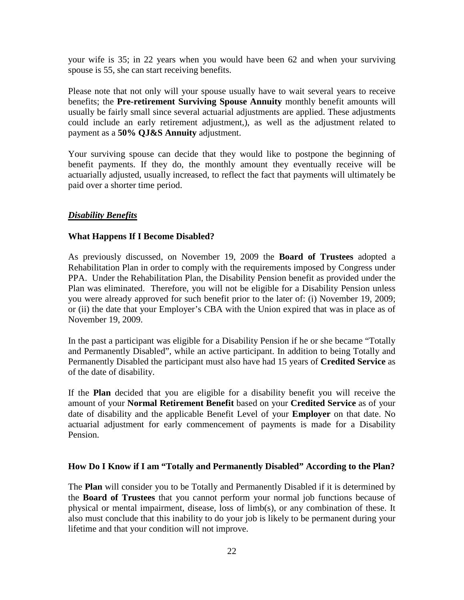your wife is 35; in 22 years when you would have been 62 and when your surviving spouse is 55, she can start receiving benefits.

Please note that not only will your spouse usually have to wait several years to receive benefits; the **Pre-retirement Surviving Spouse Annuity** monthly benefit amounts will usually be fairly small since several actuarial adjustments are applied. These adjustments could include an early retirement adjustment,), as well as the adjustment related to payment as a **50% QJ&S Annuity** adjustment.

Your surviving spouse can decide that they would like to postpone the beginning of benefit payments. If they do, the monthly amount they eventually receive will be actuarially adjusted, usually increased, to reflect the fact that payments will ultimately be paid over a shorter time period.

## *Disability Benefits*

## **What Happens If I Become Disabled?**

As previously discussed, on November 19, 2009 the **Board of Trustees** adopted a Rehabilitation Plan in order to comply with the requirements imposed by Congress under PPA. Under the Rehabilitation Plan, the Disability Pension benefit as provided under the Plan was eliminated. Therefore, you will not be eligible for a Disability Pension unless you were already approved for such benefit prior to the later of: (i) November 19, 2009; or (ii) the date that your Employer's CBA with the Union expired that was in place as of November 19, 2009.

In the past a participant was eligible for a Disability Pension if he or she became "Totally and Permanently Disabled", while an active participant. In addition to being Totally and Permanently Disabled the participant must also have had 15 years of **Credited Service** as of the date of disability.

If the **Plan** decided that you are eligible for a disability benefit you will receive the amount of your **Normal Retirement Benefit** based on your **Credited Service** as of your date of disability and the applicable Benefit Level of your **Employer** on that date. No actuarial adjustment for early commencement of payments is made for a Disability Pension.

## **How Do I Know if I am "Totally and Permanently Disabled" According to the Plan?**

The **Plan** will consider you to be Totally and Permanently Disabled if it is determined by the **Board of Trustees** that you cannot perform your normal job functions because of physical or mental impairment, disease, loss of limb(s), or any combination of these. It also must conclude that this inability to do your job is likely to be permanent during your lifetime and that your condition will not improve.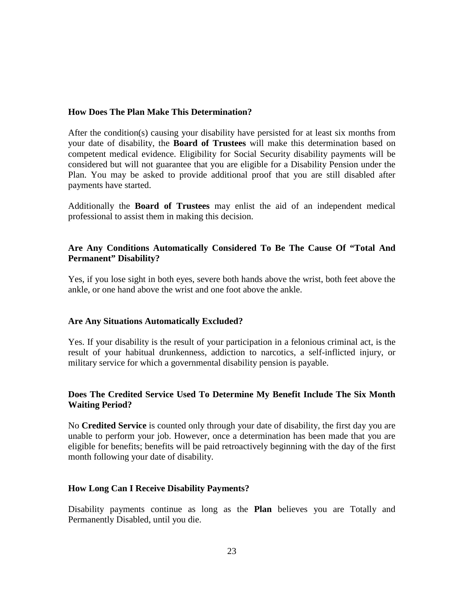#### **How Does The Plan Make This Determination?**

After the condition(s) causing your disability have persisted for at least six months from your date of disability, the **Board of Trustees** will make this determination based on competent medical evidence. Eligibility for Social Security disability payments will be considered but will not guarantee that you are eligible for a Disability Pension under the Plan. You may be asked to provide additional proof that you are still disabled after payments have started.

Additionally the **Board of Trustees** may enlist the aid of an independent medical professional to assist them in making this decision.

## **Are Any Conditions Automatically Considered To Be The Cause Of "Total And Permanent" Disability?**

Yes, if you lose sight in both eyes, severe both hands above the wrist, both feet above the ankle, or one hand above the wrist and one foot above the ankle.

## **Are Any Situations Automatically Excluded?**

Yes. If your disability is the result of your participation in a felonious criminal act, is the result of your habitual drunkenness, addiction to narcotics, a self-inflicted injury, or military service for which a governmental disability pension is payable.

## **Does The Credited Service Used To Determine My Benefit Include The Six Month Waiting Period?**

No **Credited Service** is counted only through your date of disability, the first day you are unable to perform your job. However, once a determination has been made that you are eligible for benefits; benefits will be paid retroactively beginning with the day of the first month following your date of disability.

#### **How Long Can I Receive Disability Payments?**

Disability payments continue as long as the **Plan** believes you are Totally and Permanently Disabled, until you die.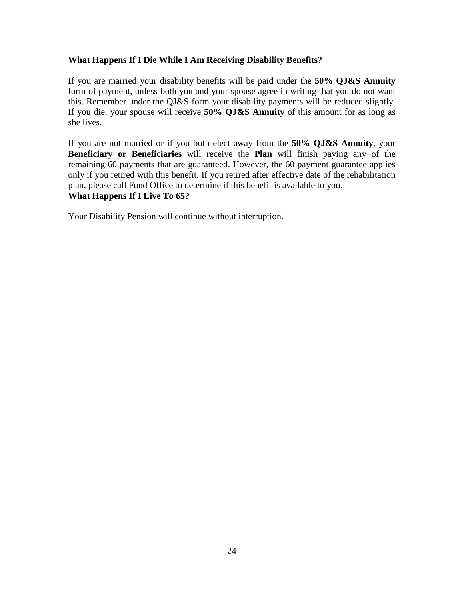## **What Happens If I Die While I Am Receiving Disability Benefits?**

If you are married your disability benefits will be paid under the **50% QJ&S Annuity** form of payment, unless both you and your spouse agree in writing that you do not want this. Remember under the QJ&S form your disability payments will be reduced slightly. If you die, your spouse will receive **50% QJ&S Annuity** of this amount for as long as she lives.

If you are not married or if you both elect away from the **50% QJ&S Annuity**, your **Beneficiary or Beneficiaries** will receive the **Plan** will finish paying any of the remaining 60 payments that are guaranteed. However, the 60 payment guarantee applies only if you retired with this benefit. If you retired after effective date of the rehabilitation plan, please call Fund Office to determine if this benefit is available to you. **What Happens If I Live To 65?**

Your Disability Pension will continue without interruption.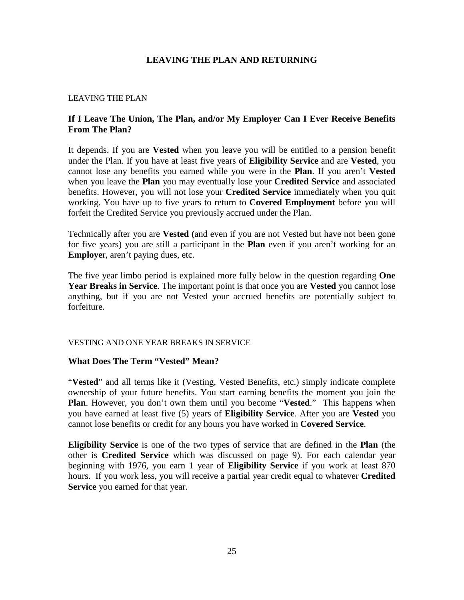## **LEAVING THE PLAN AND RETURNING**

#### LEAVING THE PLAN

## **If I Leave The Union, The Plan, and/or My Employer Can I Ever Receive Benefits From The Plan?**

It depends. If you are **Vested** when you leave you will be entitled to a pension benefit under the Plan. If you have at least five years of **Eligibility Service** and are **Vested**, you cannot lose any benefits you earned while you were in the **Plan**. If you aren't **Vested** when you leave the **Plan** you may eventually lose your **Credited Service** and associated benefits. However, you will not lose your **Credited Service** immediately when you quit working. You have up to five years to return to **Covered Employment** before you will forfeit the Credited Service you previously accrued under the Plan.

Technically after you are **Vested (**and even if you are not Vested but have not been gone for five years) you are still a participant in the **Plan** even if you aren't working for an **Employe**r, aren't paying dues, etc.

The five year limbo period is explained more fully below in the question regarding **One Year Breaks in Service**. The important point is that once you are **Vested** you cannot lose anything, but if you are not Vested your accrued benefits are potentially subject to forfeiture.

#### VESTING AND ONE YEAR BREAKS IN SERVICE

#### **What Does The Term "Vested" Mean?**

"**Vested**" and all terms like it (Vesting, Vested Benefits, etc.) simply indicate complete ownership of your future benefits. You start earning benefits the moment you join the **Plan**. However, you don't own them until you become "**Vested**." This happens when you have earned at least five (5) years of **Eligibility Service**. After you are **Vested** you cannot lose benefits or credit for any hours you have worked in **Covered Service**.

**Eligibility Service** is one of the two types of service that are defined in the **Plan** (the other is **Credited Service** which was discussed on page 9). For each calendar year beginning with 1976, you earn 1 year of **Eligibility Service** if you work at least 870 hours. If you work less, you will receive a partial year credit equal to whatever **Credited Service** you earned for that year.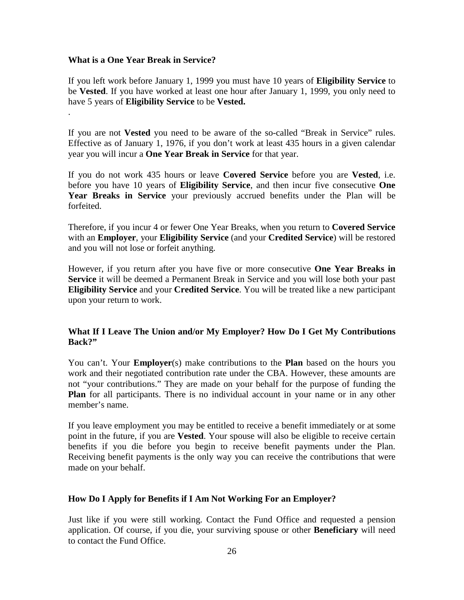#### **What is a One Year Break in Service?**

.

If you left work before January 1, 1999 you must have 10 years of **Eligibility Service** to be **Vested**. If you have worked at least one hour after January 1, 1999, you only need to have 5 years of **Eligibility Service** to be **Vested.**

If you are not **Vested** you need to be aware of the so-called "Break in Service" rules. Effective as of January 1, 1976, if you don't work at least 435 hours in a given calendar year you will incur a **One Year Break in Service** for that year.

If you do not work 435 hours or leave **Covered Service** before you are **Vested**, i.e. before you have 10 years of **Eligibility Service**, and then incur five consecutive **One Year Breaks in Service** your previously accrued benefits under the Plan will be forfeited.

Therefore, if you incur 4 or fewer One Year Breaks, when you return to **Covered Service** with an **Employer**, your **Eligibility Service** (and your **Credited Service**) will be restored and you will not lose or forfeit anything.

However, if you return after you have five or more consecutive **One Year Breaks in Service** it will be deemed a Permanent Break in Service and you will lose both your past **Eligibility Service** and your **Credited Service**. You will be treated like a new participant upon your return to work.

## **What If I Leave The Union and/or My Employer? How Do I Get My Contributions Back?"**

You can't. Your **Employer**(s) make contributions to the **Plan** based on the hours you work and their negotiated contribution rate under the CBA. However, these amounts are not "your contributions." They are made on your behalf for the purpose of funding the **Plan** for all participants. There is no individual account in your name or in any other member's name.

If you leave employment you may be entitled to receive a benefit immediately or at some point in the future, if you are **Vested**. Your spouse will also be eligible to receive certain benefits if you die before you begin to receive benefit payments under the Plan. Receiving benefit payments is the only way you can receive the contributions that were made on your behalf.

## **How Do I Apply for Benefits if I Am Not Working For an Employer?**

Just like if you were still working. Contact the Fund Office and requested a pension application. Of course, if you die, your surviving spouse or other **Beneficiary** will need to contact the Fund Office.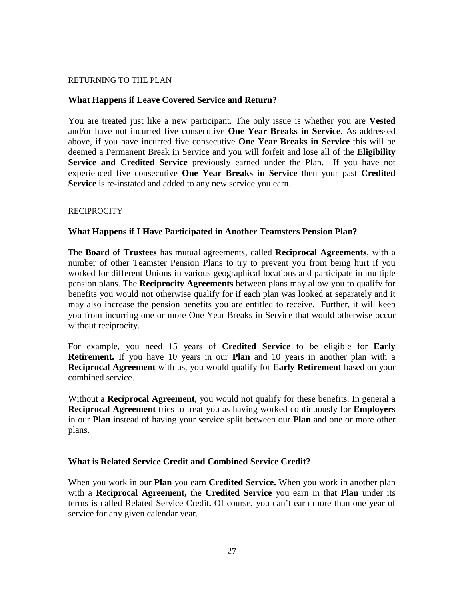#### RETURNING TO THE PLAN

#### **What Happens if Leave Covered Service and Return?**

You are treated just like a new participant. The only issue is whether you are **Vested** and/or have not incurred five consecutive **One Year Breaks in Service**. As addressed above, if you have incurred five consecutive **One Year Breaks in Service** this will be deemed a Permanent Break in Service and you will forfeit and lose all of the **Eligibility**  Service and Credited Service previously earned under the Plan. If you have not experienced five consecutive **One Year Breaks in Service** then your past **Credited Service** is re-instated and added to any new service you earn.

#### **RECIPROCITY**

#### **What Happens if I Have Participated in Another Teamsters Pension Plan?**

The **Board of Trustees** has mutual agreements, called **Reciprocal Agreements**, with a number of other Teamster Pension Plans to try to prevent you from being hurt if you worked for different Unions in various geographical locations and participate in multiple pension plans. The **Reciprocity Agreements** between plans may allow you to qualify for benefits you would not otherwise qualify for if each plan was looked at separately and it may also increase the pension benefits you are entitled to receive. Further, it will keep you from incurring one or more One Year Breaks in Service that would otherwise occur without reciprocity.

For example, you need 15 years of **Credited Service** to be eligible for **Early Retirement.** If you have 10 years in our **Plan** and 10 years in another plan with a **Reciprocal Agreement** with us, you would qualify for **Early Retirement** based on your combined service.

Without a **Reciprocal Agreement**, you would not qualify for these benefits. In general a **Reciprocal Agreement** tries to treat you as having worked continuously for **Employers**  in our **Plan** instead of having your service split between our **Plan** and one or more other plans.

#### **What is Related Service Credit and Combined Service Credit?**

When you work in our **Plan** you earn **Credited Service.** When you work in another plan with a **Reciprocal Agreement,** the **Credited Service** you earn in that **Plan** under its terms is called Related Service Credit**.** Of course, you can't earn more than one year of service for any given calendar year.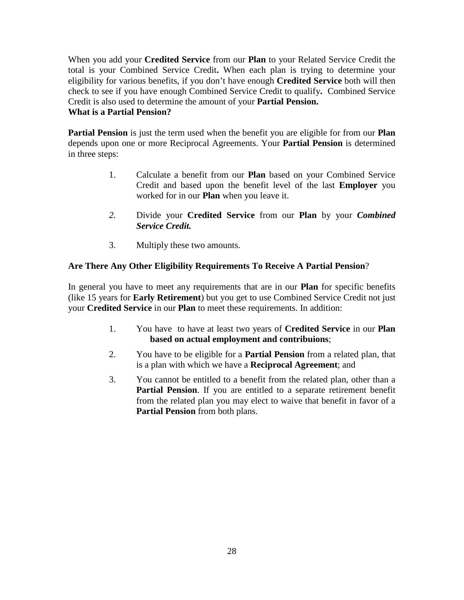When you add your **Credited Service** from our **Plan** to your Related Service Credit the total is your Combined Service Credit**.** When each plan is trying to determine your eligibility for various benefits, if you don't have enough **Credited Service** both will then check to see if you have enough Combined Service Credit to qualify**.** Combined Service Credit is also used to determine the amount of your **Partial Pension. What is a Partial Pension?**

**Partial Pension** is just the term used when the benefit you are eligible for from our **Plan** depends upon one or more Reciprocal Agreements. Your **Partial Pension** is determined in three steps:

- 1. Calculate a benefit from our **Plan** based on your Combined Service Credit and based upon the benefit level of the last **Employer** you worked for in our **Plan** when you leave it.
- *2.* Divide your **Credited Service** from our **Plan** by your *Combined Service Credit.*
- 3. Multiply these two amounts.

## **Are There Any Other Eligibility Requirements To Receive A Partial Pension**?

In general you have to meet any requirements that are in our **Plan** for specific benefits (like 15 years for **Early Retirement**) but you get to use Combined Service Credit not just your **Credited Service** in our **Plan** to meet these requirements. In addition:

- 1. You have to have at least two years of **Credited Service** in our **Plan based on actual employment and contribuions**;
- 2. You have to be eligible for a **Partial Pension** from a related plan, that is a plan with which we have a **Reciprocal Agreement**; and
- 3. You cannot be entitled to a benefit from the related plan, other than a **Partial Pension**. If you are entitled to a separate retirement benefit from the related plan you may elect to waive that benefit in favor of a **Partial Pension** from both plans.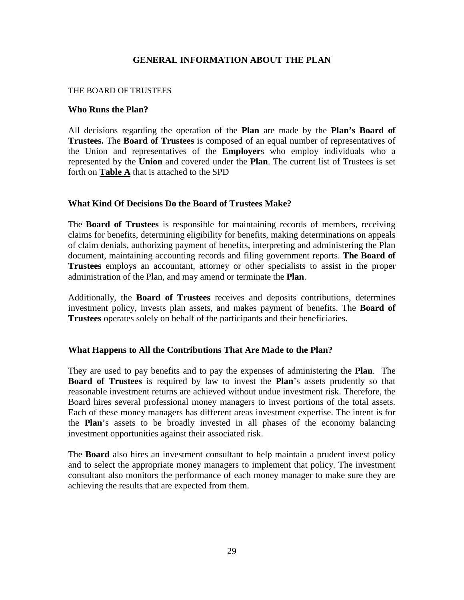## **GENERAL INFORMATION ABOUT THE PLAN**

#### THE BOARD OF TRUSTEES

#### **Who Runs the Plan?**

All decisions regarding the operation of the **Plan** are made by the **Plan's Board of Trustees.** The **Board of Trustees** is composed of an equal number of representatives of the Union and representatives of the **Employer**s who employ individuals who a represented by the **Union** and covered under the **Plan**. The current list of Trustees is set forth on **Table A** that is attached to the SPD

#### **What Kind Of Decisions Do the Board of Trustees Make?**

The **Board of Trustees** is responsible for maintaining records of members, receiving claims for benefits, determining eligibility for benefits, making determinations on appeals of claim denials, authorizing payment of benefits, interpreting and administering the Plan document, maintaining accounting records and filing government reports. **The Board of Trustees** employs an accountant, attorney or other specialists to assist in the proper administration of the Plan, and may amend or terminate the **Plan**.

Additionally, the **Board of Trustees** receives and deposits contributions, determines investment policy, invests plan assets, and makes payment of benefits. The **Board of Trustees** operates solely on behalf of the participants and their beneficiaries.

#### **What Happens to All the Contributions That Are Made to the Plan?**

They are used to pay benefits and to pay the expenses of administering the **Plan**. The **Board of Trustees** is required by law to invest the **Plan**'s assets prudently so that reasonable investment returns are achieved without undue investment risk. Therefore, the Board hires several professional money managers to invest portions of the total assets. Each of these money managers has different areas investment expertise. The intent is for the **Plan**'s assets to be broadly invested in all phases of the economy balancing investment opportunities against their associated risk.

The **Board** also hires an investment consultant to help maintain a prudent invest policy and to select the appropriate money managers to implement that policy. The investment consultant also monitors the performance of each money manager to make sure they are achieving the results that are expected from them.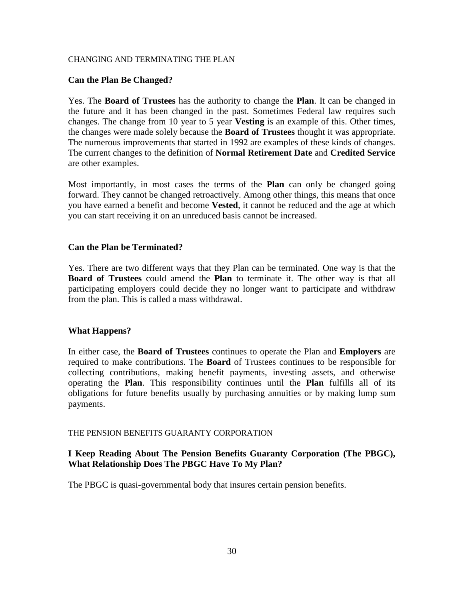#### CHANGING AND TERMINATING THE PLAN

#### **Can the Plan Be Changed?**

Yes. The **Board of Trustees** has the authority to change the **Plan**. It can be changed in the future and it has been changed in the past. Sometimes Federal law requires such changes. The change from 10 year to 5 year **Vesting** is an example of this. Other times, the changes were made solely because the **Board of Trustees** thought it was appropriate. The numerous improvements that started in 1992 are examples of these kinds of changes. The current changes to the definition of **Normal Retirement Date** and **Credited Service** are other examples.

Most importantly, in most cases the terms of the **Plan** can only be changed going forward. They cannot be changed retroactively. Among other things, this means that once you have earned a benefit and become **Vested**, it cannot be reduced and the age at which you can start receiving it on an unreduced basis cannot be increased.

#### **Can the Plan be Terminated?**

Yes. There are two different ways that they Plan can be terminated. One way is that the **Board of Trustees** could amend the **Plan** to terminate it. The other way is that all participating employers could decide they no longer want to participate and withdraw from the plan. This is called a mass withdrawal.

## **What Happens?**

In either case, the **Board of Trustees** continues to operate the Plan and **Employers** are required to make contributions. The **Board** of Trustees continues to be responsible for collecting contributions, making benefit payments, investing assets, and otherwise operating the **Plan**. This responsibility continues until the **Plan** fulfills all of its obligations for future benefits usually by purchasing annuities or by making lump sum payments.

#### THE PENSION BENEFITS GUARANTY CORPORATION

## **I Keep Reading About The Pension Benefits Guaranty Corporation (The PBGC), What Relationship Does The PBGC Have To My Plan?**

The PBGC is quasi-governmental body that insures certain pension benefits.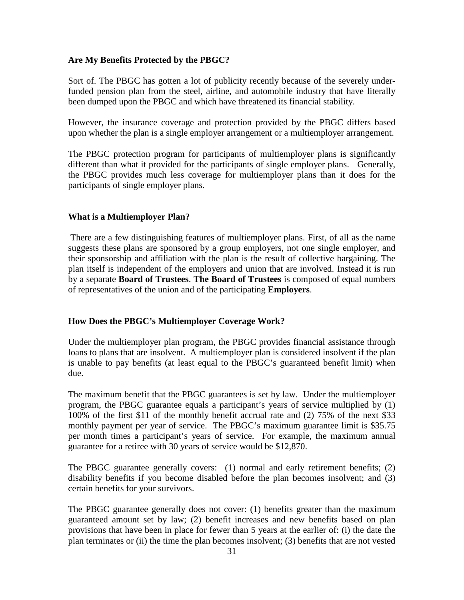#### **Are My Benefits Protected by the PBGC?**

Sort of. The PBGC has gotten a lot of publicity recently because of the severely underfunded pension plan from the steel, airline, and automobile industry that have literally been dumped upon the PBGC and which have threatened its financial stability.

However, the insurance coverage and protection provided by the PBGC differs based upon whether the plan is a single employer arrangement or a multiemployer arrangement.

The PBGC protection program for participants of multiemployer plans is significantly different than what it provided for the participants of single employer plans. Generally, the PBGC provides much less coverage for multiemployer plans than it does for the participants of single employer plans.

#### **What is a Multiemployer Plan?**

There are a few distinguishing features of multiemployer plans. First, of all as the name suggests these plans are sponsored by a group employers, not one single employer, and their sponsorship and affiliation with the plan is the result of collective bargaining. The plan itself is independent of the employers and union that are involved. Instead it is run by a separate **Board of Trustees**. **The Board of Trustees** is composed of equal numbers of representatives of the union and of the participating **Employers**.

## **How Does the PBGC's Multiemployer Coverage Work?**

Under the multiemployer plan program, the PBGC provides financial assistance through loans to plans that are insolvent. A multiemployer plan is considered insolvent if the plan is unable to pay benefits (at least equal to the PBGC's guaranteed benefit limit) when due.

The maximum benefit that the PBGC guarantees is set by law. Under the multiemployer program, the PBGC guarantee equals a participant's years of service multiplied by (1) 100% of the first \$11 of the monthly benefit accrual rate and (2) 75% of the next \$33 monthly payment per year of service. The PBGC's maximum guarantee limit is \$35.75 per month times a participant's years of service. For example, the maximum annual guarantee for a retiree with 30 years of service would be \$12,870.

The PBGC guarantee generally covers: (1) normal and early retirement benefits; (2) disability benefits if you become disabled before the plan becomes insolvent; and (3) certain benefits for your survivors.

The PBGC guarantee generally does not cover: (1) benefits greater than the maximum guaranteed amount set by law; (2) benefit increases and new benefits based on plan provisions that have been in place for fewer than 5 years at the earlier of: (i) the date the plan terminates or (ii) the time the plan becomes insolvent; (3) benefits that are not vested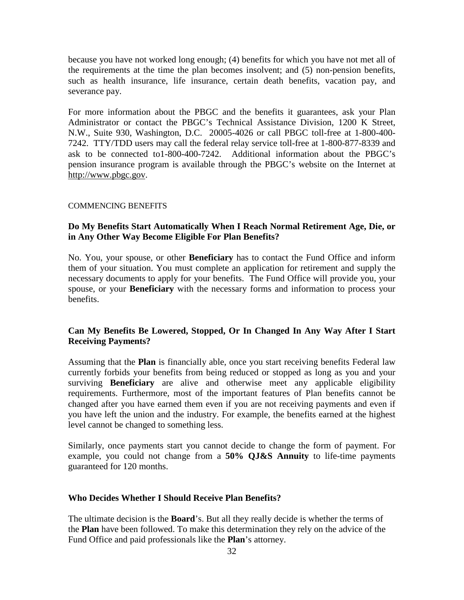because you have not worked long enough; (4) benefits for which you have not met all of the requirements at the time the plan becomes insolvent; and (5) non-pension benefits, such as health insurance, life insurance, certain death benefits, vacation pay, and severance pay.

For more information about the PBGC and the benefits it guarantees, ask your Plan Administrator or contact the PBGC's Technical Assistance Division, 1200 K Street, N.W., Suite 930, Washington, D.C. 20005-4026 or call PBGC toll-free at 1-800-400- 7242. TTY/TDD users may call the federal relay service toll-free at 1-800-877-8339 and ask to be connected to1-800-400-7242. Additional information about the PBGC's pension insurance program is available through the PBGC's website on the Internet at http://www.pbgc.gov.

## COMMENCING BENEFITS

## **Do My Benefits Start Automatically When I Reach Normal Retirement Age, Die, or in Any Other Way Become Eligible For Plan Benefits?**

No. You, your spouse, or other **Beneficiary** has to contact the Fund Office and inform them of your situation. You must complete an application for retirement and supply the necessary documents to apply for your benefits. The Fund Office will provide you, your spouse, or your **Beneficiary** with the necessary forms and information to process your benefits.

## **Can My Benefits Be Lowered, Stopped, Or In Changed In Any Way After I Start Receiving Payments?**

Assuming that the **Plan** is financially able, once you start receiving benefits Federal law currently forbids your benefits from being reduced or stopped as long as you and your surviving **Beneficiary** are alive and otherwise meet any applicable eligibility requirements. Furthermore, most of the important features of Plan benefits cannot be changed after you have earned them even if you are not receiving payments and even if you have left the union and the industry. For example, the benefits earned at the highest level cannot be changed to something less.

Similarly, once payments start you cannot decide to change the form of payment. For example, you could not change from a **50% QJ&S Annuity** to life-time payments guaranteed for 120 months.

## **Who Decides Whether I Should Receive Plan Benefits?**

The ultimate decision is the **Board**'s. But all they really decide is whether the terms of the **Plan** have been followed. To make this determination they rely on the advice of the Fund Office and paid professionals like the **Plan**'s attorney.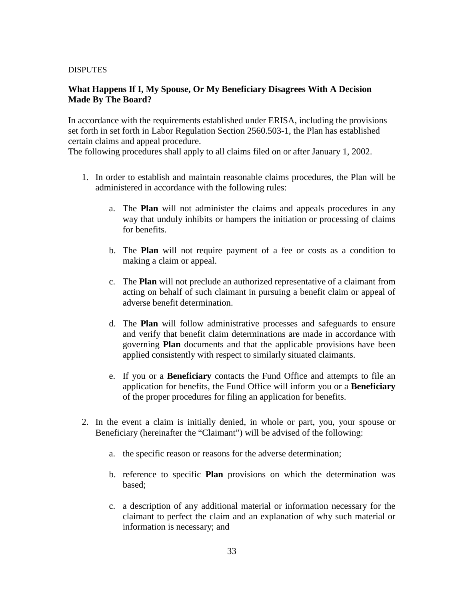#### **DISPUTES**

## **What Happens If I, My Spouse, Or My Beneficiary Disagrees With A Decision Made By The Board?**

In accordance with the requirements established under ERISA, including the provisions set forth in set forth in Labor Regulation Section 2560.503-1, the Plan has established certain claims and appeal procedure.

The following procedures shall apply to all claims filed on or after January 1, 2002.

- 1. In order to establish and maintain reasonable claims procedures, the Plan will be administered in accordance with the following rules:
	- a. The **Plan** will not administer the claims and appeals procedures in any way that unduly inhibits or hampers the initiation or processing of claims for benefits.
	- b. The **Plan** will not require payment of a fee or costs as a condition to making a claim or appeal.
	- c. The **Plan** will not preclude an authorized representative of a claimant from acting on behalf of such claimant in pursuing a benefit claim or appeal of adverse benefit determination.
	- d. The **Plan** will follow administrative processes and safeguards to ensure and verify that benefit claim determinations are made in accordance with governing **Plan** documents and that the applicable provisions have been applied consistently with respect to similarly situated claimants.
	- e. If you or a **Beneficiary** contacts the Fund Office and attempts to file an application for benefits, the Fund Office will inform you or a **Beneficiary**  of the proper procedures for filing an application for benefits.
- 2. In the event a claim is initially denied, in whole or part, you, your spouse or Beneficiary (hereinafter the "Claimant") will be advised of the following:
	- a. the specific reason or reasons for the adverse determination;
	- b. reference to specific **Plan** provisions on which the determination was based;
	- c. a description of any additional material or information necessary for the claimant to perfect the claim and an explanation of why such material or information is necessary; and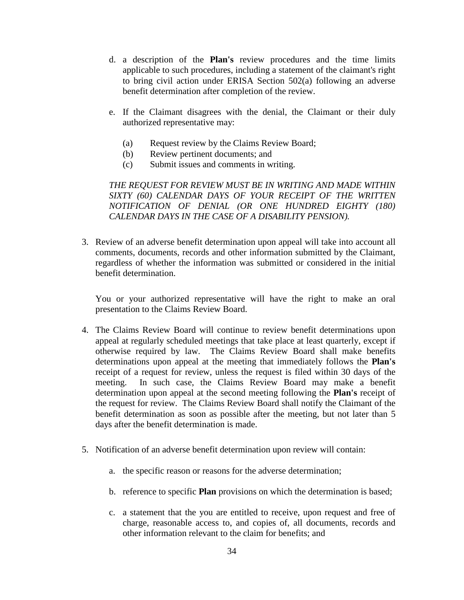- d. a description of the **Plan's** review procedures and the time limits applicable to such procedures, including a statement of the claimant's right to bring civil action under ERISA Section 502(a) following an adverse benefit determination after completion of the review.
- e. If the Claimant disagrees with the denial, the Claimant or their duly authorized representative may:
	- (a) Request review by the Claims Review Board;
	- (b) Review pertinent documents; and
	- (c) Submit issues and comments in writing.

*THE REQUEST FOR REVIEW MUST BE IN WRITING AND MADE WITHIN SIXTY (60) CALENDAR DAYS OF YOUR RECEIPT OF THE WRITTEN NOTIFICATION OF DENIAL (OR ONE HUNDRED EIGHTY (180) CALENDAR DAYS IN THE CASE OF A DISABILITY PENSION).* 

3. Review of an adverse benefit determination upon appeal will take into account all comments, documents, records and other information submitted by the Claimant, regardless of whether the information was submitted or considered in the initial benefit determination.

You or your authorized representative will have the right to make an oral presentation to the Claims Review Board.

- 4. The Claims Review Board will continue to review benefit determinations upon appeal at regularly scheduled meetings that take place at least quarterly, except if otherwise required by law. The Claims Review Board shall make benefits determinations upon appeal at the meeting that immediately follows the **Plan's** receipt of a request for review, unless the request is filed within 30 days of the meeting. In such case, the Claims Review Board may make a benefit determination upon appeal at the second meeting following the **Plan's** receipt of the request for review. The Claims Review Board shall notify the Claimant of the benefit determination as soon as possible after the meeting, but not later than 5 days after the benefit determination is made.
- 5. Notification of an adverse benefit determination upon review will contain:
	- a. the specific reason or reasons for the adverse determination;
	- b. reference to specific **Plan** provisions on which the determination is based;
	- c. a statement that the you are entitled to receive, upon request and free of charge, reasonable access to, and copies of, all documents, records and other information relevant to the claim for benefits; and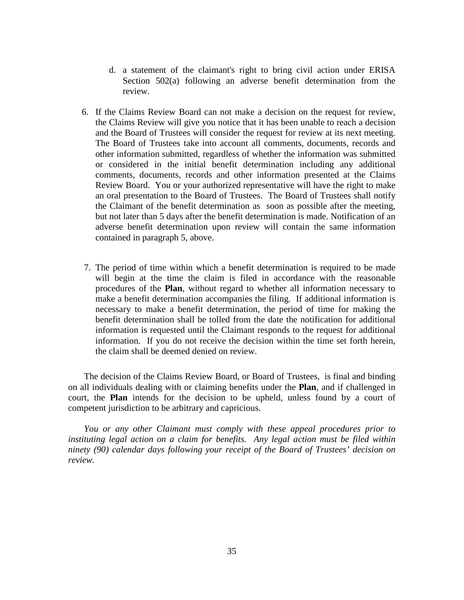- d. a statement of the claimant's right to bring civil action under ERISA Section 502(a) following an adverse benefit determination from the review.
- 6. If the Claims Review Board can not make a decision on the request for review, the Claims Review will give you notice that it has been unable to reach a decision and the Board of Trustees will consider the request for review at its next meeting. The Board of Trustees take into account all comments, documents, records and other information submitted, regardless of whether the information was submitted or considered in the initial benefit determination including any additional comments, documents, records and other information presented at the Claims Review Board. You or your authorized representative will have the right to make an oral presentation to the Board of Trustees. The Board of Trustees shall notify the Claimant of the benefit determination as soon as possible after the meeting, but not later than 5 days after the benefit determination is made. Notification of an adverse benefit determination upon review will contain the same information contained in paragraph 5, above.
- 7. The period of time within which a benefit determination is required to be made will begin at the time the claim is filed in accordance with the reasonable procedures of the **Plan**, without regard to whether all information necessary to make a benefit determination accompanies the filing. If additional information is necessary to make a benefit determination, the period of time for making the benefit determination shall be tolled from the date the notification for additional information is requested until the Claimant responds to the request for additional information. If you do not receive the decision within the time set forth herein, the claim shall be deemed denied on review.

The decision of the Claims Review Board, or Board of Trustees, is final and binding on all individuals dealing with or claiming benefits under the **Plan**, and if challenged in court, the **Plan** intends for the decision to be upheld, unless found by a court of competent jurisdiction to be arbitrary and capricious.

*You or any other Claimant must comply with these appeal procedures prior to instituting legal action on a claim for benefits. Any legal action must be filed within ninety (90) calendar days following your receipt of the Board of Trustees' decision on review.*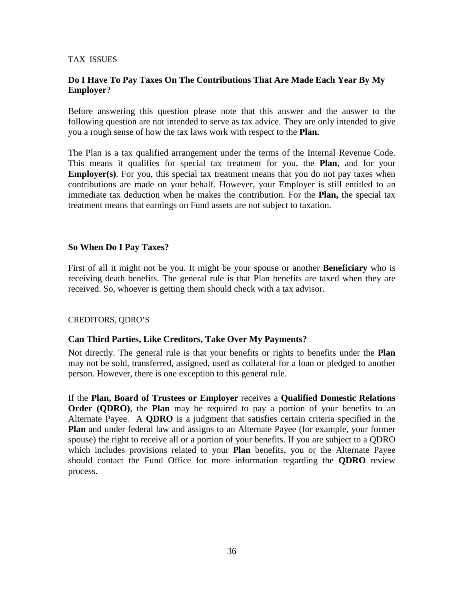#### TAX ISSUES

## **Do I Have To Pay Taxes On The Contributions That Are Made Each Year By My Employer**?

Before answering this question please note that this answer and the answer to the following question are not intended to serve as tax advice. They are only intended to give you a rough sense of how the tax laws work with respect to the **Plan.**

The Plan is a tax qualified arrangement under the terms of the Internal Revenue Code. This means it qualifies for special tax treatment for you, the **Plan**, and for your **Employer(s)**. For you, this special tax treatment means that you do not pay taxes when contributions are made on your behalf. However, your Employer is still entitled to an immediate tax deduction when he makes the contribution. For the **Plan,** the special tax treatment means that earnings on Fund assets are not subject to taxation.

#### **So When Do I Pay Taxes?**

First of all it might not be you. It might be your spouse or another **Beneficiary** who is receiving death benefits. The general rule is that Plan benefits are taxed when they are received. So, whoever is getting them should check with a tax advisor.

#### CREDITORS, QDRO'S

## **Can Third Parties, Like Creditors, Take Over My Payments?**

Not directly. The general rule is that your benefits or rights to benefits under the **Plan**  may not be sold, transferred, assigned, used as collateral for a loan or pledged to another person. However, there is one exception to this general rule.

If the **Plan, Board of Trustees or Employer** receives a **Qualified Domestic Relations Order (QDRO)**, the **Plan** may be required to pay a portion of your benefits to an Alternate Payee. A **QDRO** is a judgment that satisfies certain criteria specified in the **Plan** and under federal law and assigns to an Alternate Payee (for example, your former spouse) the right to receive all or a portion of your benefits. If you are subject to a QDRO which includes provisions related to your **Plan** benefits, you or the Alternate Payee should contact the Fund Office for more information regarding the **QDRO** review process.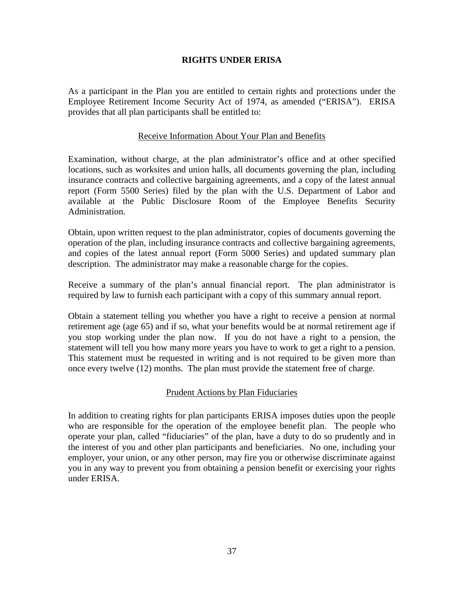## **RIGHTS UNDER ERISA**

As a participant in the Plan you are entitled to certain rights and protections under the Employee Retirement Income Security Act of 1974, as amended ("ERISA"). ERISA provides that all plan participants shall be entitled to:

## Receive Information About Your Plan and Benefits

Examination, without charge, at the plan administrator's office and at other specified locations, such as worksites and union halls, all documents governing the plan, including insurance contracts and collective bargaining agreements, and a copy of the latest annual report (Form 5500 Series) filed by the plan with the U.S. Department of Labor and available at the Public Disclosure Room of the Employee Benefits Security Administration.

Obtain, upon written request to the plan administrator, copies of documents governing the operation of the plan, including insurance contracts and collective bargaining agreements, and copies of the latest annual report (Form 5000 Series) and updated summary plan description. The administrator may make a reasonable charge for the copies.

Receive a summary of the plan's annual financial report. The plan administrator is required by law to furnish each participant with a copy of this summary annual report.

Obtain a statement telling you whether you have a right to receive a pension at normal retirement age (age 65) and if so, what your benefits would be at normal retirement age if you stop working under the plan now. If you do not have a right to a pension, the statement will tell you how many more years you have to work to get a right to a pension. This statement must be requested in writing and is not required to be given more than once every twelve (12) months. The plan must provide the statement free of charge.

## Prudent Actions by Plan Fiduciaries

In addition to creating rights for plan participants ERISA imposes duties upon the people who are responsible for the operation of the employee benefit plan. The people who operate your plan, called "fiduciaries" of the plan, have a duty to do so prudently and in the interest of you and other plan participants and beneficiaries. No one, including your employer, your union, or any other person, may fire you or otherwise discriminate against you in any way to prevent you from obtaining a pension benefit or exercising your rights under ERISA.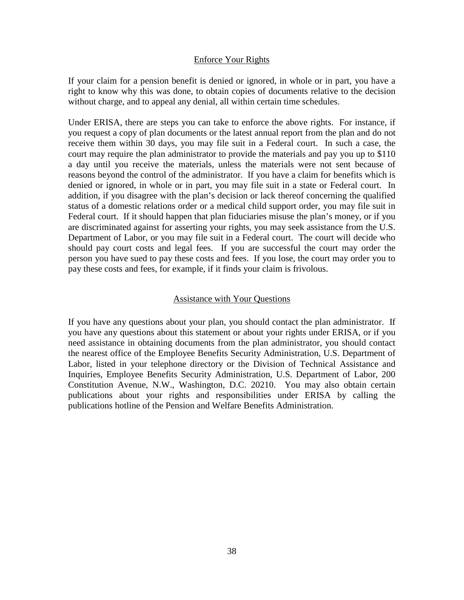#### Enforce Your Rights

If your claim for a pension benefit is denied or ignored, in whole or in part, you have a right to know why this was done, to obtain copies of documents relative to the decision without charge, and to appeal any denial, all within certain time schedules.

Under ERISA, there are steps you can take to enforce the above rights. For instance, if you request a copy of plan documents or the latest annual report from the plan and do not receive them within 30 days, you may file suit in a Federal court. In such a case, the court may require the plan administrator to provide the materials and pay you up to \$110 a day until you receive the materials, unless the materials were not sent because of reasons beyond the control of the administrator. If you have a claim for benefits which is denied or ignored, in whole or in part, you may file suit in a state or Federal court. In addition, if you disagree with the plan's decision or lack thereof concerning the qualified status of a domestic relations order or a medical child support order, you may file suit in Federal court. If it should happen that plan fiduciaries misuse the plan's money, or if you are discriminated against for asserting your rights, you may seek assistance from the U.S. Department of Labor, or you may file suit in a Federal court. The court will decide who should pay court costs and legal fees. If you are successful the court may order the person you have sued to pay these costs and fees. If you lose, the court may order you to pay these costs and fees, for example, if it finds your claim is frivolous.

#### Assistance with Your Questions

If you have any questions about your plan, you should contact the plan administrator. If you have any questions about this statement or about your rights under ERISA, or if you need assistance in obtaining documents from the plan administrator, you should contact the nearest office of the Employee Benefits Security Administration, U.S. Department of Labor, listed in your telephone directory or the Division of Technical Assistance and Inquiries, Employee Benefits Security Administration, U.S. Department of Labor, 200 Constitution Avenue, N.W., Washington, D.C. 20210. You may also obtain certain publications about your rights and responsibilities under ERISA by calling the publications hotline of the Pension and Welfare Benefits Administration.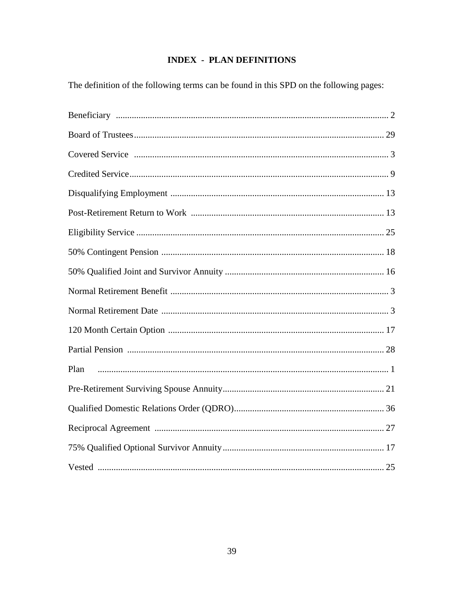## **INDEX - PLAN DEFINITIONS**

The definition of the following terms can be found in this SPD on the following pages:

| Plan |
|------|
|      |
|      |
|      |
|      |
|      |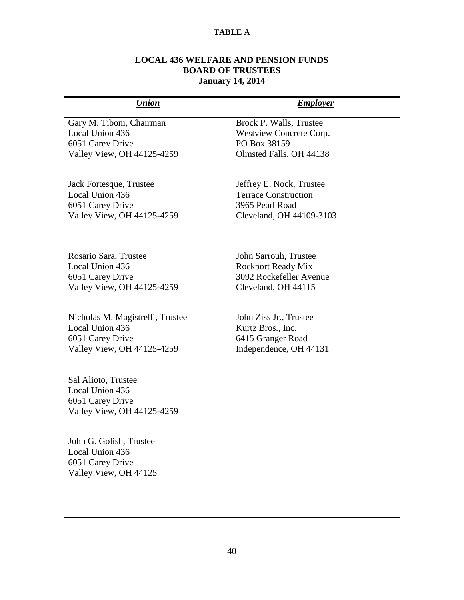## **TABLE A**

| <b>LOCAL 436 WELFARE AND PENSION FUNDS</b> |
|--------------------------------------------|
| <b>BOARD OF TRUSTEES</b>                   |
| <b>January 14, 2014</b>                    |

| <b>Union</b>                                                                             | <b>Employer</b>             |
|------------------------------------------------------------------------------------------|-----------------------------|
| Gary M. Tiboni, Chairman                                                                 | Brock P. Walls, Trustee     |
| Local Union 436                                                                          | Westview Concrete Corp.     |
| 6051 Carey Drive                                                                         | PO Box 38159                |
| Valley View, OH 44125-4259                                                               | Olmsted Falls, OH 44138     |
| Jack Fortesque, Trustee                                                                  | Jeffrey E. Nock, Trustee    |
| Local Union 436                                                                          | <b>Terrace Construction</b> |
| 6051 Carey Drive                                                                         | 3965 Pearl Road             |
| Valley View, OH 44125-4259                                                               | Cleveland, OH 44109-3103    |
| Rosario Sara, Trustee                                                                    | John Sarrouh, Trustee       |
| Local Union 436                                                                          | <b>Rockport Ready Mix</b>   |
| 6051 Carey Drive                                                                         | 3092 Rockefeller Avenue     |
| Valley View, OH 44125-4259                                                               | Cleveland, OH 44115         |
| Nicholas M. Magistrelli, Trustee                                                         | John Ziss Jr., Trustee      |
| Local Union 436                                                                          | Kurtz Bros., Inc.           |
| 6051 Carey Drive                                                                         | 6415 Granger Road           |
| Valley View, OH 44125-4259                                                               | Independence, OH 44131      |
| Sal Alioto, Trustee<br>Local Union 436<br>6051 Carey Drive<br>Valley View, OH 44125-4259 |                             |
| John G. Golish, Trustee<br>Local Union 436<br>6051 Carey Drive<br>Valley View, OH 44125  |                             |